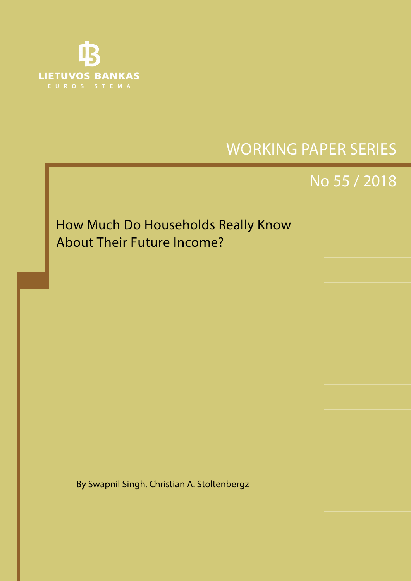

No 1 / 2008 SHORT-TERM FORECASTING OF GDP USING LARGE MONTHLY DATASETS: A PSEUDO REAL-TIME FORECAST EVALUATION EXERCISE

# WORKING PAPER SERIES

# No 55 / 2018

How Much Do Households Really Know About Their Future Income?

By Swapnil Singh, Christian A. Stoltenbergz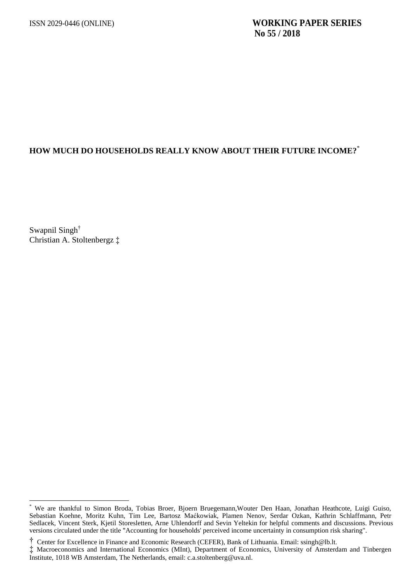# **HOW MUCH DO HOUSEHOLDS REALLY KNOW ABOUT THEIR FUTURE INCOME?**\*

Swapnil Singh† Christian A. Stoltenbergz ‡

We are thankful to Simon Broda, Tobias Broer, Bjoern Bruegemann,Wouter Den Haan, Jonathan Heathcote, Luigi Guiso, Sebastian Koehne, Moritz Kuhn, Tim Lee, Bartosz Maćkowiak, Plamen Nenov, Serdar Ozkan, Kathrin Schlaffmann, Petr Sedlacek, Vincent Sterk, Kjetil Storesletten, Arne Uhlendorff and Sevin Yeltekin for helpful comments and discussions. Previous versions circulated under the title "Accounting for households' perceived income uncertainty in consumption risk sharing".

<sup>†</sup> Center for Excellence in Finance and Economic Research (CEFER), Bank of Lithuania. Emai[l: ssingh@lb.lt](mailto:ssingh@lb.lt).

<sup>‡</sup> Macroeconomics and International Economics (MInt), Department of Economics, University of Amsterdam and Tinbergen Institute, 1018 WB Amsterdam, The Netherlands, email: c.a.stoltenberg@uva.nl.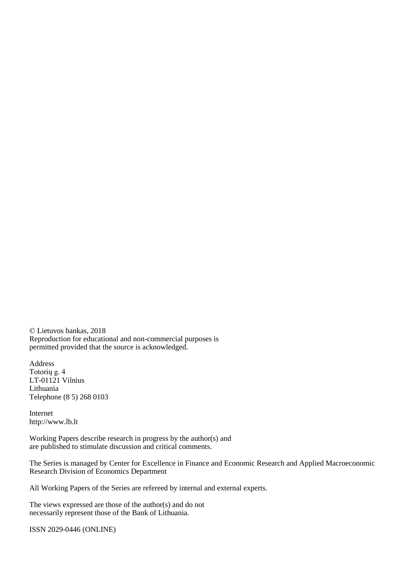© Lietuvos bankas, 2018 Reproduction for educational and non-commercial purposes is permitted provided that the source is acknowledged.

Address Totorių g. 4 LT-01121 Vilnius Lithuania Telephone (8 5) 268 0103

Internet http://www.lb.lt

Working Papers describe research in progress by the author(s) and are published to stimulate discussion and critical comments.

The Series is managed by Center for Excellence in Finance and Economic Research and Applied Macroeconomic Research Division of Economics Department

All Working Papers of the Series are refereed by internal and external experts.

The views expressed are those of the author(s) and do not necessarily represent those of the Bank of Lithuania.

ISSN 2029-0446 (ONLINE)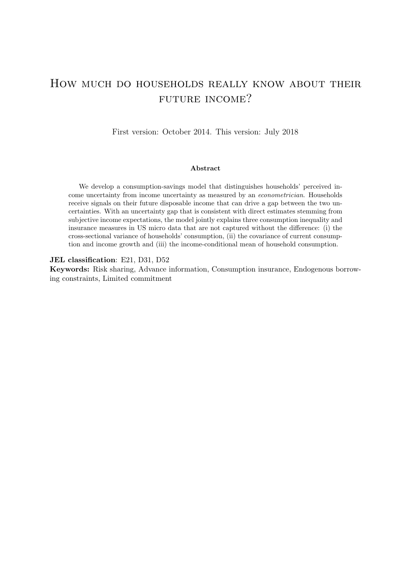# <span id="page-3-0"></span>How much do households really know about their FUTURE INCOME?

First version: October 2014. This version: July 2018

#### Abstract

We develop a consumption-savings model that distinguishes households' perceived income uncertainty from income uncertainty as measured by an econometrician. Households receive signals on their future disposable income that can drive a gap between the two uncertainties. With an uncertainty gap that is consistent with direct estimates stemming from subjective income expectations, the model jointly explains three consumption inequality and insurance measures in US micro data that are not captured without the difference: (i) the cross-sectional variance of households' consumption, (ii) the covariance of current consumption and income growth and (iii) the income-conditional mean of household consumption.

#### JEL classification: E21, D31, D52

Keywords: Risk sharing, Advance information, Consumption insurance, Endogenous borrowing constraints, Limited commitment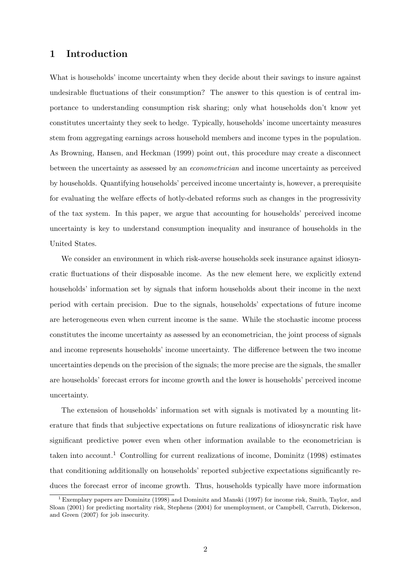# 1 Introduction

What is households' income uncertainty when they decide about their savings to insure against undesirable fluctuations of their consumption? The answer to this question is of central importance to understanding consumption risk sharing; only what households don't know yet constitutes uncertainty they seek to hedge. Typically, households' income uncertainty measures stem from aggregating earnings across household members and income types in the population. As [Browning, Hansen, and Heckman](#page-35-0) [\(1999\)](#page-35-0) point out, this procedure may create a disconnect between the uncertainty as assessed by an econometrician and income uncertainty as perceived by households. Quantifying households' perceived income uncertainty is, however, a prerequisite for evaluating the welfare effects of hotly-debated reforms such as changes in the progressivity of the tax system. In this paper, we argue that accounting for households' perceived income uncertainty is key to understand consumption inequality and insurance of households in the United States.

We consider an environment in which risk-averse households seek insurance against idiosyncratic fluctuations of their disposable income. As the new element here, we explicitly extend households' information set by signals that inform households about their income in the next period with certain precision. Due to the signals, households' expectations of future income are heterogeneous even when current income is the same. While the stochastic income process constitutes the income uncertainty as assessed by an econometrician, the joint process of signals and income represents households' income uncertainty. The difference between the two income uncertainties depends on the precision of the signals; the more precise are the signals, the smaller are households' forecast errors for income growth and the lower is households' perceived income uncertainty.

The extension of households' information set with signals is motivated by a mounting literature that finds that subjective expectations on future realizations of idiosyncratic risk have significant predictive power even when other information available to the econometrician is taken into account.<sup>[1](#page-4-0)</sup> Controlling for current realizations of income, [Dominitz](#page-35-1)  $(1998)$  estimates that conditioning additionally on households' reported subjective expectations significantly reduces the forecast error of income growth. Thus, households typically have more information

<span id="page-4-0"></span><sup>&</sup>lt;sup>1</sup> Exemplary papers are [Dominitz](#page-35-1) [\(1998\)](#page-35-1) and [Dominitz and Manski](#page-35-2) [\(1997\)](#page-35-2) for income risk, [Smith, Taylor, and](#page-36-0) [Sloan](#page-36-0) [\(2001\)](#page-36-0) for predicting mortality risk, [Stephens](#page-37-0) [\(2004\)](#page-37-0) for unemployment, or [Campbell, Carruth, Dickerson,](#page-35-3) [and Green](#page-35-3) [\(2007\)](#page-35-3) for job insecurity.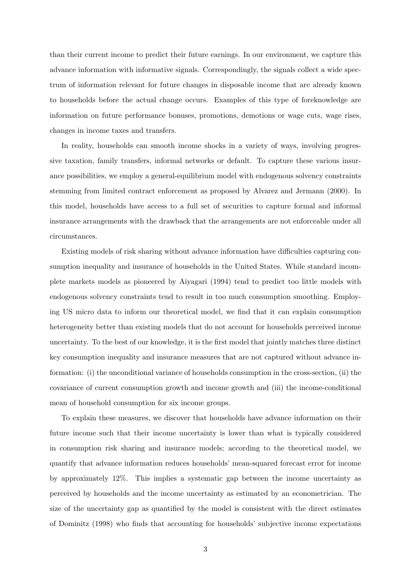than their current income to predict their future earnings. In our environment, we capture this advance information with informative signals. Correspondingly, the signals collect a wide spectrum of information relevant for future changes in disposable income that are already known to households before the actual change occurs. Examples of this type of foreknowledge are information on future performance bonuses, promotions, demotions or wage cuts, wage rises, changes in income taxes and transfers.

In reality, households can smooth income shocks in a variety of ways, involving progressive taxation, family transfers, informal networks or default. To capture these various insurance possibilities, we employ a general-equilibrium model with endogenous solvency constraints stemming from limited contract enforcement as proposed by [Alvarez and Jermann](#page-35-4) [\(2000\)](#page-35-4). In this model, households have access to a full set of securities to capture formal and informal insurance arrangements with the drawback that the arrangements are not enforceable under all circumstances.

Existing models of risk sharing without advance information have difficulties capturing consumption inequality and insurance of households in the United States. While standard incomplete markets models as pioneered by [Aiyagari](#page-35-5) [\(1994\)](#page-35-5) tend to predict too little models with endogenous solvency constraints tend to result in too much consumption smoothing. Employing US micro data to inform our theoretical model, we find that it can explain consumption heterogeneity better than existing models that do not account for households perceived income uncertainty. To the best of our knowledge, it is the first model that jointly matches three distinct key consumption inequality and insurance measures that are not captured without advance information: (i) the unconditional variance of households consumption in the cross-section, (ii) the covariance of current consumption growth and income growth and (iii) the income-conditional mean of household consumption for six income groups.

To explain these measures, we discover that households have advance information on their future income such that their income uncertainty is lower than what is typically considered in consumption risk sharing and insurance models; according to the theoretical model, we quantify that advance information reduces households' mean-squared forecast error for income by approximately 12%. This implies a systematic gap between the income uncertainty as perceived by households and the income uncertainty as estimated by an econometrician. The size of the uncertainty gap as quantified by the model is consistent with the direct estimates of [Dominitz](#page-35-1) [\(1998\)](#page-35-1) who finds that accounting for households' subjective income expectations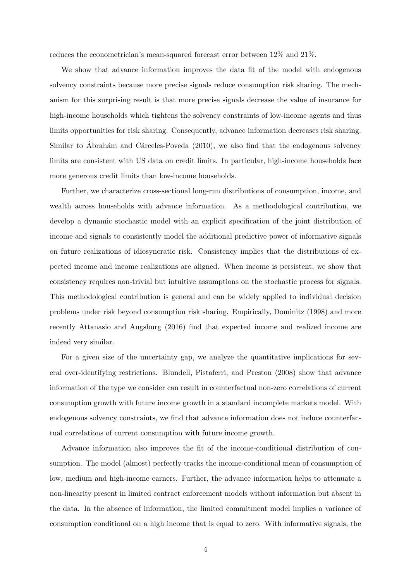reduces the econometrician's mean-squared forecast error between 12% and 21%.

We show that advance information improves the data fit of the model with endogenous solvency constraints because more precise signals reduce consumption risk sharing. The mechanism for this surprising result is that more precise signals decrease the value of insurance for high-income households which tightens the solvency constraints of low-income agents and thus limits opportunities for risk sharing. Consequently, advance information decreases risk sharing. Similar to Ábrahám and Cárceles-Poveda [\(2010\)](#page-34-0), we also find that the endogenous solvency limits are consistent with US data on credit limits. In particular, high-income households face more generous credit limits than low-income households.

Further, we characterize cross-sectional long-run distributions of consumption, income, and wealth across households with advance information. As a methodological contribution, we develop a dynamic stochastic model with an explicit specification of the joint distribution of income and signals to consistently model the additional predictive power of informative signals on future realizations of idiosyncratic risk. Consistency implies that the distributions of expected income and income realizations are aligned. When income is persistent, we show that consistency requires non-trivial but intuitive assumptions on the stochastic process for signals. This methodological contribution is general and can be widely applied to individual decision problems under risk beyond consumption risk sharing. Empirically, [Dominitz](#page-35-1) [\(1998\)](#page-35-1) and more recently [Attanasio and Augsburg](#page-35-6) [\(2016\)](#page-35-6) find that expected income and realized income are indeed very similar.

For a given size of the uncertainty gap, we analyze the quantitative implications for several over-identifying restrictions. [Blundell, Pistaferri, and Preston](#page-35-7) [\(2008\)](#page-35-7) show that advance information of the type we consider can result in counterfactual non-zero correlations of current consumption growth with future income growth in a standard incomplete markets model. With endogenous solvency constraints, we find that advance information does not induce counterfactual correlations of current consumption with future income growth.

Advance information also improves the fit of the income-conditional distribution of consumption. The model (almost) perfectly tracks the income-conditional mean of consumption of low, medium and high-income earners. Further, the advance information helps to attenuate a non-linearity present in limited contract enforcement models without information but absent in the data. In the absence of information, the limited commitment model implies a variance of consumption conditional on a high income that is equal to zero. With informative signals, the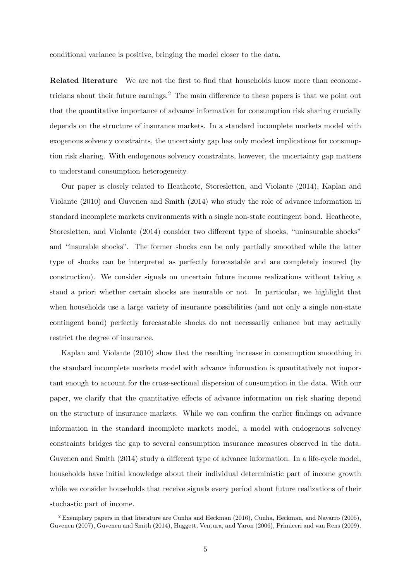conditional variance is positive, bringing the model closer to the data.

Related literature We are not the first to find that households know more than econome-tricians about their future earnings.<sup>[2](#page-7-0)</sup> The main difference to these papers is that we point out that the quantitative importance of advance information for consumption risk sharing crucially depends on the structure of insurance markets. In a standard incomplete markets model with exogenous solvency constraints, the uncertainty gap has only modest implications for consumption risk sharing. With endogenous solvency constraints, however, the uncertainty gap matters to understand consumption heterogeneity.

Our paper is closely related to [Heathcote, Storesletten, and Violante](#page-36-1) [\(2014\)](#page-36-1), [Kaplan and](#page-36-2) [Violante](#page-36-2) [\(2010\)](#page-36-2) and [Guvenen and Smith](#page-36-3) [\(2014\)](#page-36-3) who study the role of advance information in standard incomplete markets environments with a single non-state contingent bond. [Heathcote,](#page-36-1) [Storesletten, and Violante](#page-36-1) [\(2014\)](#page-36-1) consider two different type of shocks, "uninsurable shocks" and "insurable shocks". The former shocks can be only partially smoothed while the latter type of shocks can be interpreted as perfectly forecastable and are completely insured (by construction). We consider signals on uncertain future income realizations without taking a stand a priori whether certain shocks are insurable or not. In particular, we highlight that when households use a large variety of insurance possibilities (and not only a single non-state contingent bond) perfectly forecastable shocks do not necessarily enhance but may actually restrict the degree of insurance.

[Kaplan and Violante](#page-36-2) [\(2010\)](#page-36-2) show that the resulting increase in consumption smoothing in the standard incomplete markets model with advance information is quantitatively not important enough to account for the cross-sectional dispersion of consumption in the data. With our paper, we clarify that the quantitative effects of advance information on risk sharing depend on the structure of insurance markets. While we can confirm the earlier findings on advance information in the standard incomplete markets model, a model with endogenous solvency constraints bridges the gap to several consumption insurance measures observed in the data. [Guvenen and Smith](#page-36-3) [\(2014\)](#page-36-3) study a different type of advance information. In a life-cycle model, households have initial knowledge about their individual deterministic part of income growth while we consider households that receive signals every period about future realizations of their stochastic part of income.

<span id="page-7-0"></span><sup>2</sup> Exemplary papers in that literature are [Cunha and Heckman](#page-35-8) [\(2016\)](#page-35-8), [Cunha, Heckman, and Navarro](#page-35-9) [\(2005\)](#page-35-9), [Guvenen](#page-36-4) [\(2007\)](#page-36-4), [Guvenen and Smith](#page-36-3) [\(2014\)](#page-36-3), [Huggett, Ventura, and Yaron](#page-36-5) [\(2006\)](#page-36-5), [Primiceri and van Rens](#page-36-6) [\(2009\)](#page-36-6).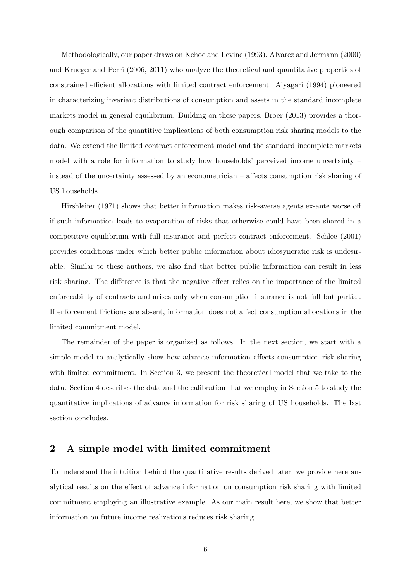Methodologically, our paper draws on [Kehoe and Levine](#page-36-7) [\(1993\)](#page-36-7), [Alvarez and Jermann](#page-35-4) [\(2000\)](#page-35-4) and [Krueger and Perri](#page-36-8) [\(2006,](#page-36-8) [2011\)](#page-36-9) who analyze the theoretical and quantitative properties of constrained efficient allocations with limited contract enforcement. [Aiyagari](#page-35-5) [\(1994\)](#page-35-5) pioneered in characterizing invariant distributions of consumption and assets in the standard incomplete markets model in general equilibrium. Building on these papers, [Broer](#page-35-10) [\(2013\)](#page-35-10) provides a thorough comparison of the quantitive implications of both consumption risk sharing models to the data. We extend the limited contract enforcement model and the standard incomplete markets model with a role for information to study how households' perceived income uncertainty – instead of the uncertainty assessed by an econometrician – affects consumption risk sharing of US households.

[Hirshleifer](#page-36-10) [\(1971\)](#page-36-10) shows that better information makes risk-averse agents ex-ante worse off if such information leads to evaporation of risks that otherwise could have been shared in a competitive equilibrium with full insurance and perfect contract enforcement. [Schlee](#page-36-11) [\(2001\)](#page-36-11) provides conditions under which better public information about idiosyncratic risk is undesirable. Similar to these authors, we also find that better public information can result in less risk sharing. The difference is that the negative effect relies on the importance of the limited enforceability of contracts and arises only when consumption insurance is not full but partial. If enforcement frictions are absent, information does not affect consumption allocations in the limited commitment model.

The remainder of the paper is organized as follows. In the next section, we start with a simple model to analytically show how advance information affects consumption risk sharing with limited commitment. In Section [3,](#page-12-0) we present the theoretical model that we take to the data. Section [4](#page-18-0) describes the data and the calibration that we employ in Section [5](#page-22-0) to study the quantitative implications of advance information for risk sharing of US households. The last section concludes.

# <span id="page-8-0"></span>2 A simple model with limited commitment

To understand the intuition behind the quantitative results derived later, we provide here analytical results on the effect of advance information on consumption risk sharing with limited commitment employing an illustrative example. As our main result here, we show that better information on future income realizations reduces risk sharing.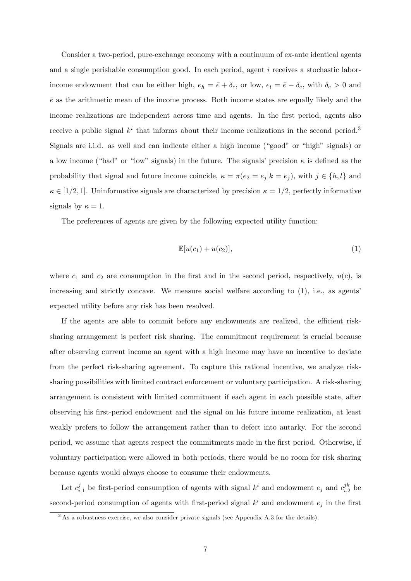Consider a two-period, pure-exchange economy with a continuum of ex-ante identical agents and a single perishable consumption good. In each period, agent i receives a stochastic laborincome endowment that can be either high,  $e_h = \bar{e} + \delta_e$ , or low,  $e_l = \bar{e} - \delta_e$ , with  $\delta_e > 0$  and  $\bar{e}$  as the arithmetic mean of the income process. Both income states are equally likely and the income realizations are independent across time and agents. In the first period, agents also receive a public signal  $k^i$  that informs about their income realizations in the second period.<sup>[3](#page-9-0)</sup> Signals are i.i.d. as well and can indicate either a high income ("good" or "high" signals) or a low income ("bad" or "low" signals) in the future. The signals' precision  $\kappa$  is defined as the probability that signal and future income coincide,  $\kappa = \pi(e_2 = e_j | k = e_j)$ , with  $j \in \{h, l\}$  and  $\kappa \in [1/2, 1]$ . Uninformative signals are characterized by precision  $\kappa = 1/2$ , perfectly informative signals by  $\kappa = 1$ .

The preferences of agents are given by the following expected utility function:

<span id="page-9-1"></span>
$$
\mathbb{E}[u(c_1)+u(c_2)],\tag{1}
$$

where  $c_1$  and  $c_2$  are consumption in the first and in the second period, respectively,  $u(c)$ , is increasing and strictly concave. We measure social welfare according to [\(1\)](#page-9-1), i.e., as agents' expected utility before any risk has been resolved.

If the agents are able to commit before any endowments are realized, the efficient risksharing arrangement is perfect risk sharing. The commitment requirement is crucial because after observing current income an agent with a high income may have an incentive to deviate from the perfect risk-sharing agreement. To capture this rational incentive, we analyze risksharing possibilities with limited contract enforcement or voluntary participation. A risk-sharing arrangement is consistent with limited commitment if each agent in each possible state, after observing his first-period endowment and the signal on his future income realization, at least weakly prefers to follow the arrangement rather than to defect into autarky. For the second period, we assume that agents respect the commitments made in the first period. Otherwise, if voluntary participation were allowed in both periods, there would be no room for risk sharing because agents would always choose to consume their endowments.

Let  $c_i^j$  $i_{i,1}$  be first-period consumption of agents with signal  $k^i$  and endowment  $e_j$  and  $c_{i,i}^{jk}$  $j_{i,2}^{\mu}$  be second-period consumption of agents with first-period signal  $k^i$  and endowment  $e_j$  in the first

<span id="page-9-0"></span><sup>&</sup>lt;sup>3</sup> As a robustness exercise, we also consider private signals (see Appendix [A.3](#page-44-0) for the details).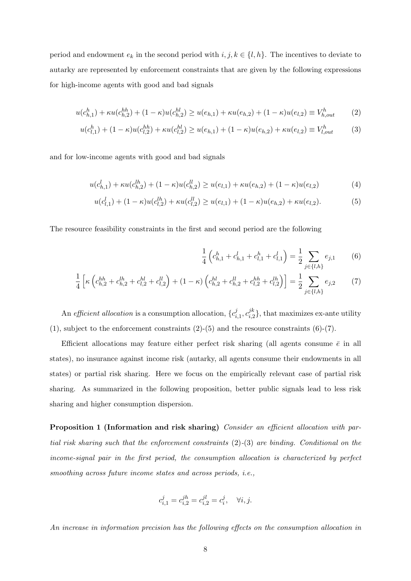period and endowment  $e_k$  in the second period with  $i, j, k \in \{l, h\}$ . The incentives to deviate to autarky are represented by enforcement constraints that are given by the following expressions for high-income agents with good and bad signals

$$
u(c_{h,1}^h) + \kappa u(c_{h,2}^{hh}) + (1 - \kappa)u(c_{h,2}^{hl}) \ge u(e_{h,1}) + \kappa u(e_{h,2}) + (1 - \kappa)u(e_{l,2}) \equiv V_{h,out}^h
$$
 (2)

$$
u(c_{l,1}^h) + (1 - \kappa)u(c_{l,2}^{hh}) + \kappa u(c_{l,2}^{hl}) \ge u(e_{h,1}) + (1 - \kappa)u(e_{h,2}) + \kappa u(e_{l,2}) \equiv V_{l,out}^h
$$
 (3)

and for low-income agents with good and bad signals

$$
u(c_{h,1}^l) + \kappa u(c_{h,2}^{lh}) + (1 - \kappa)u(c_{h,2}^{ll}) \ge u(e_{l,1}) + \kappa u(e_{h,2}) + (1 - \kappa)u(e_{l,2})
$$
\n<sup>(4)</sup>

$$
u(c_{l,1}^l) + (1 - \kappa)u(c_{l,2}^{lh}) + \kappa u(c_{l,2}^{lh}) \ge u(e_{l,1}) + (1 - \kappa)u(e_{h,2}) + \kappa u(e_{l,2}).
$$
\n(5)

The resource feasibility constraints in the first and second period are the following

<span id="page-10-4"></span><span id="page-10-3"></span><span id="page-10-2"></span><span id="page-10-1"></span><span id="page-10-0"></span>
$$
\frac{1}{4}\left(c_{h,1}^h + c_{h,1}^l + c_{l,1}^h + c_{l,1}^l\right) = \frac{1}{2}\sum_{j \in \{l,h\}} e_{j,1} \tag{6}
$$

$$
\frac{1}{4}\left[\kappa\left(c_{h,2}^{hh} + c_{h,2}^{lh} + c_{l,2}^{hl} + c_{l,2}^{ll}\right) + (1 - \kappa)\left(c_{h,2}^{hl} + c_{h,2}^{hl} + c_{l,2}^{lh} + c_{l,2}^{lh}\right)\right] = \frac{1}{2}\sum_{j \in \{l,h\}}e_{j,2} \tag{7}
$$

An efficient allocation is a consumption allocation,  $\{c_i^j\}$  $i,1}^{j},c_{i,2}^{jk}$  $i_{i,2}^{j\kappa}$ , that maximizes ex-ante utility  $(1)$ , subject to the enforcement constraints  $(2)-(5)$  $(2)-(5)$  $(2)-(5)$  and the resource constraints  $(6)-(7)$  $(6)-(7)$  $(6)-(7)$ .

Efficient allocations may feature either perfect risk sharing (all agents consume  $\bar{e}$  in all states), no insurance against income risk (autarky, all agents consume their endowments in all states) or partial risk sharing. Here we focus on the empirically relevant case of partial risk sharing. As summarized in the following proposition, better public signals lead to less risk sharing and higher consumption dispersion.

<span id="page-10-5"></span>Proposition 1 (Information and risk sharing) Consider an efficient allocation with partial risk sharing such that the enforcement constraints [\(2\)](#page-10-0)-[\(3\)](#page-10-4) are binding. Conditional on the income-signal pair in the first period, the consumption allocation is characterized by perfect smoothing across future income states and across periods, i.e.,

$$
c_{i,1}^j = c_{i,2}^{jh} = c_{i,2}^{jl} = c_i^j, \quad \forall i, j.
$$

An increase in information precision has the following effects on the consumption allocation in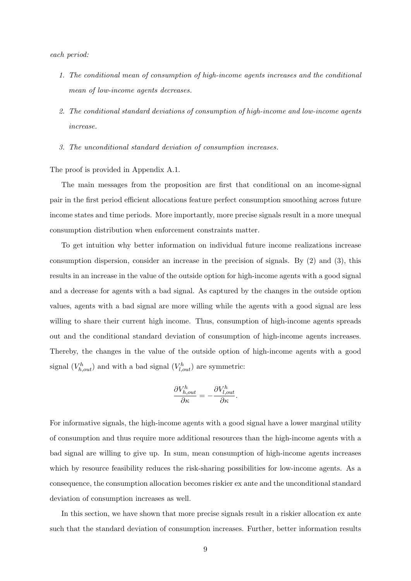each period:

- 1. The conditional mean of consumption of high-income agents increases and the conditional mean of low-income agents decreases.
- 2. The conditional standard deviations of consumption of high-income and low-income agents increase.
- 3. The unconditional standard deviation of consumption increases.

#### The proof is provided in Appendix [A.1.](#page-37-1)

The main messages from the proposition are first that conditional on an income-signal pair in the first period efficient allocations feature perfect consumption smoothing across future income states and time periods. More importantly, more precise signals result in a more unequal consumption distribution when enforcement constraints matter.

To get intuition why better information on individual future income realizations increase consumption dispersion, consider an increase in the precision of signals. By [\(2\)](#page-10-0) and [\(3\)](#page-10-4), this results in an increase in the value of the outside option for high-income agents with a good signal and a decrease for agents with a bad signal. As captured by the changes in the outside option values, agents with a bad signal are more willing while the agents with a good signal are less willing to share their current high income. Thus, consumption of high-income agents spreads out and the conditional standard deviation of consumption of high-income agents increases. Thereby, the changes in the value of the outside option of high-income agents with a good signal  $(V_{h,out}^h)$  and with a bad signal  $(V_{l,out}^h)$  are symmetric:

$$
\frac{\partial V_{h,out}^h}{\partial \kappa} = -\frac{\partial V_{l,out}^h}{\partial \kappa}.
$$

For informative signals, the high-income agents with a good signal have a lower marginal utility of consumption and thus require more additional resources than the high-income agents with a bad signal are willing to give up. In sum, mean consumption of high-income agents increases which by resource feasibility reduces the risk-sharing possibilities for low-income agents. As a consequence, the consumption allocation becomes riskier ex ante and the unconditional standard deviation of consumption increases as well.

In this section, we have shown that more precise signals result in a riskier allocation ex ante such that the standard deviation of consumption increases. Further, better information results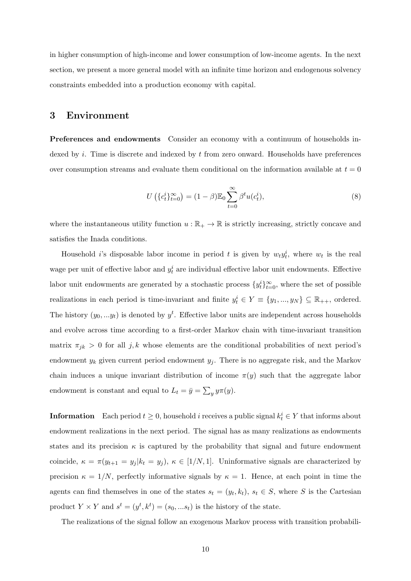in higher consumption of high-income and lower consumption of low-income agents. In the next section, we present a more general model with an infinite time horizon and endogenous solvency constraints embedded into a production economy with capital.

## <span id="page-12-0"></span>3 Environment

Preferences and endowments Consider an economy with a continuum of households indexed by i. Time is discrete and indexed by  $t$  from zero onward. Households have preferences over consumption streams and evaluate them conditional on the information available at  $t = 0$ 

$$
U\left(\{c_t^i\}_{t=0}^{\infty}\right) = (1-\beta)\mathbb{E}_0\sum_{t=0}^{\infty}\beta^t u(c_t^i),\tag{8}
$$

where the instantaneous utility function  $u : \mathbb{R}_+ \to \mathbb{R}$  is strictly increasing, strictly concave and satisfies the Inada conditions.

Household *i*'s disposable labor income in period *t* is given by  $w_t y_t^i$ , where  $w_t$  is the real wage per unit of effective labor and  $y_t^i$  are individual effective labor unit endowments. Effective labor unit endowments are generated by a stochastic process  $\{y_t^i\}_{t=0}^{\infty}$ , where the set of possible realizations in each period is time-invariant and finite  $y_t^i \in Y \equiv \{y_1, ..., y_N\} \subseteq \mathbb{R}_{++}$ , ordered. The history  $(y_0, \ldots, y_t)$  is denoted by  $y^t$ . Effective labor units are independent across households and evolve across time according to a first-order Markov chain with time-invariant transition matrix  $\pi_{jk} > 0$  for all j, k whose elements are the conditional probabilities of next period's endowment  $y_k$  given current period endowment  $y_j$ . There is no aggregate risk, and the Markov chain induces a unique invariant distribution of income  $\pi(y)$  such that the aggregate labor endowment is constant and equal to  $L_t = \bar{y} = \sum_y y \pi(y)$ .

**Information** Each period  $t \geq 0$ , household i receives a public signal  $k_t^i \in Y$  that informs about endowment realizations in the next period. The signal has as many realizations as endowments states and its precision  $\kappa$  is captured by the probability that signal and future endowment coincide,  $\kappa = \pi(y_{t+1} = y_j | k_t = y_j)$ ,  $\kappa \in [1/N, 1]$ . Uninformative signals are characterized by precision  $\kappa = 1/N$ , perfectly informative signals by  $\kappa = 1$ . Hence, at each point in time the agents can find themselves in one of the states  $s_t = (y_t, k_t)$ ,  $s_t \in S$ , where S is the Cartesian product  $Y \times Y$  and  $s^t = (y^t, k^t) = (s_0, ...s_t)$  is the history of the state.

The realizations of the signal follow an exogenous Markov process with transition probabili-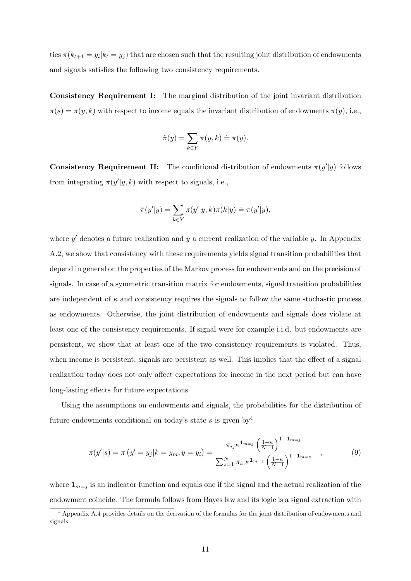ties  $\pi(k_{t+1} = y_i | k_t = y_j)$  that are chosen such that the resulting joint distribution of endowments and signals satisfies the following two consistency requirements.

Consistency Requirement I: The marginal distribution of the joint invariant distribution  $\pi(s) = \pi(y, k)$  with respect to income equals the invariant distribution of endowments  $\pi(y)$ , i.e.,

$$
\hat{\pi}(y) = \sum_{k \in Y} \pi(y, k) \doteq \pi(y).
$$

**Consistency Requirement II:** The conditional distribution of endowments  $\pi(y'|y)$  follows from integrating  $\pi(y'|y,k)$  with respect to signals, i.e.,

$$
\hat{\pi}(y'|y) = \sum_{k \in Y} \pi(y'|y,k)\pi(k|y) \doteq \pi(y'|y),
$$

where  $y'$  denotes a future realization and  $y$  a current realization of the variable  $y$ . In Appendix [A.2,](#page-39-0) we show that consistency with these requirements yields signal transition probabilities that depend in general on the properties of the Markov process for endowments and on the precision of signals. In case of a symmetric transition matrix for endowments, signal transition probabilities are independent of  $\kappa$  and consistency requires the signals to follow the same stochastic process as endowments. Otherwise, the joint distribution of endowments and signals does violate at least one of the consistency requirements. If signal were for example i.i.d. but endowments are persistent, we show that at least one of the two consistency requirements is violated. Thus, when income is persistent, signals are persistent as well. This implies that the effect of a signal realization today does not only affect expectations for income in the next period but can have long-lasting effects for future expectations.

Using the assumptions on endowments and signals, the probabilities for the distribution of future endowments conditional on today's state s is given by  $4$ 

<span id="page-13-1"></span>
$$
\pi(y'|s) = \pi\left(y'=y_j|k=y_m, y=y_i\right) = \frac{\pi_{ij}\kappa^{1_{m=j}}\left(\frac{1-\kappa}{N-1}\right)^{1-1_{m=j}}}{\sum_{z=1}^{N}\pi_{iz}\kappa^{1_{m=z}}\left(\frac{1-\kappa}{N-1}\right)^{1-1_{m=z}}},\tag{9}
$$

where  $\mathbf{1}_{m=j}$  is an indicator function and equals one if the signal and the actual realization of the endowment coincide. The formula follows from Bayes law and its logic is a signal extraction with

<span id="page-13-0"></span><sup>4</sup> Appendix [A.4](#page-45-0) provides details on the derivation of the formulas for the joint distribution of endowments and signals.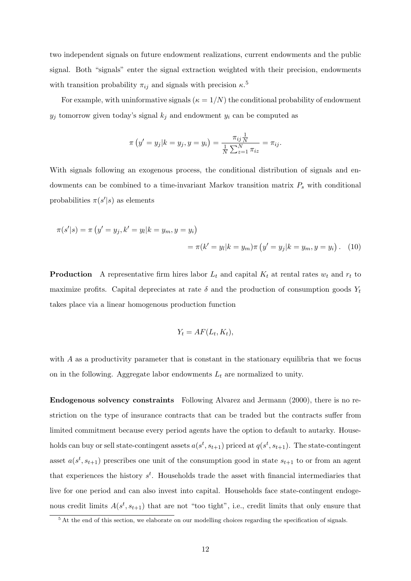two independent signals on future endowment realizations, current endowments and the public signal. Both "signals" enter the signal extraction weighted with their precision, endowments with transition probability  $\pi_{ij}$  and signals with precision  $\kappa$ <sup>[5](#page-14-0)</sup>

For example, with uninformative signals ( $\kappa = 1/N$ ) the conditional probability of endowment  $y_j$  tomorrow given today's signal  $k_j$  and endowment  $y_i$  can be computed as

$$
\pi(y' = y_j | k = y_j, y = y_i) = \frac{\pi_{ij} \frac{1}{N}}{\frac{1}{N} \sum_{z=1}^{N} \pi_{iz}} = \pi_{ij}.
$$

With signals following an exogenous process, the conditional distribution of signals and endowments can be combined to a time-invariant Markov transition matrix  $P_s$  with conditional probabilities  $\pi(s'|s)$  as elements

$$
\pi(s'|s) = \pi (y' = y_j, k' = y_l | k = y_m, y = y_i)
$$
  
=  $\pi(k' = y_l | k = y_m) \pi (y' = y_j | k = y_m, y = y_i)$ . (10)

**Production** A representative firm hires labor  $L_t$  and capital  $K_t$  at rental rates  $w_t$  and  $r_t$  to maximize profits. Capital depreciates at rate  $\delta$  and the production of consumption goods  $Y_t$ takes place via a linear homogenous production function

<span id="page-14-1"></span>
$$
Y_t = AF(L_t, K_t),
$$

with A as a productivity parameter that is constant in the stationary equilibria that we focus on in the following. Aggregate labor endowments  $L_t$  are normalized to unity.

Endogenous solvency constraints Following [Alvarez and Jermann](#page-35-4) [\(2000\)](#page-35-4), there is no restriction on the type of insurance contracts that can be traded but the contracts suffer from limited commitment because every period agents have the option to default to autarky. Households can buy or sell state-contingent assets  $a(s^t, s_{t+1})$  priced at  $q(s^t, s_{t+1})$ . The state-contingent asset  $a(s^t, s_{t+1})$  prescribes one unit of the consumption good in state  $s_{t+1}$  to or from an agent that experiences the history  $s^t$ . Households trade the asset with financial intermediaries that live for one period and can also invest into capital. Households face state-contingent endogenous credit limits  $A(s^t, s_{t+1})$  that are not "too tight", i.e., credit limits that only ensure that

<span id="page-14-0"></span><sup>&</sup>lt;sup>5</sup> At the end of this section, we elaborate on our modelling choices regarding the specification of signals.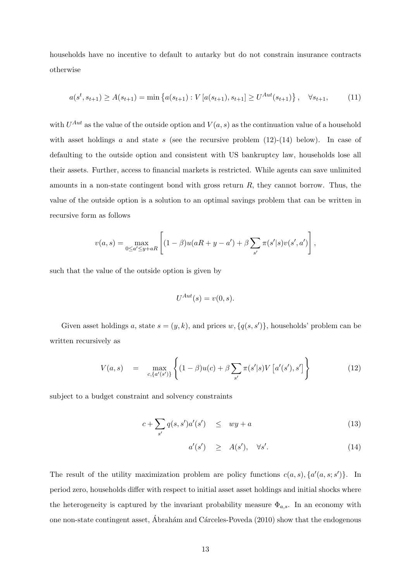households have no incentive to default to autarky but do not constrain insurance contracts otherwise

<span id="page-15-2"></span>
$$
a(s^t, s_{t+1}) \ge A(s_{t+1}) = \min\left\{a(s_{t+1}) : V\left[a(s_{t+1}), s_{t+1}\right] \ge U^{Aut}(s_{t+1})\right\}, \quad \forall s_{t+1},\tag{11}
$$

with  $U^{Aut}$  as the value of the outside option and  $V(a, s)$  as the continuation value of a household with asset holdings a and state s (see the recursive problem  $(12)-(14)$  $(12)-(14)$  $(12)-(14)$  below). In case of defaulting to the outside option and consistent with US bankruptcy law, households lose all their assets. Further, access to financial markets is restricted. While agents can save unlimited amounts in a non-state contingent bond with gross return  $R$ , they cannot borrow. Thus, the value of the outside option is a solution to an optimal savings problem that can be written in recursive form as follows

$$
v(a,s) = \max_{0 \le a' \le y + aR} \left[ (1 - \beta)u(aR + y - a') + \beta \sum_{s'} \pi(s'|s)v(s',a') \right],
$$

such that the value of the outside option is given by

<span id="page-15-0"></span>
$$
U^{Aut}(s) = v(0, s).
$$

Given asset holdings a, state  $s = (y, k)$ , and prices  $w, \{q(s, s')\}$ , households' problem can be written recursively as

$$
V(a,s) = \max_{c, \{a'(s')\}} \left\{ (1-\beta)u(c) + \beta \sum_{s'} \pi(s'|s)V[a'(s'), s'] \right\}
$$
(12)

subject to a budget constraint and solvency constraints

$$
c + \sum_{s'} q(s, s')a'(s') \le wy + a \tag{13}
$$

<span id="page-15-1"></span>
$$
a'(s') \quad \geq \quad A(s'), \quad \forall s'. \tag{14}
$$

The result of the utility maximization problem are policy functions  $c(a, s)$ ,  $\{a'(a, s; s')\}$ . In period zero, households differ with respect to initial asset asset holdings and initial shocks where the heterogeneity is captured by the invariant probability measure  $\Phi_{a,s}$ . In an economy with one non-state contingent asset, Abrahám and Cárceles-Poveda  $(2010)$  show that the endogenous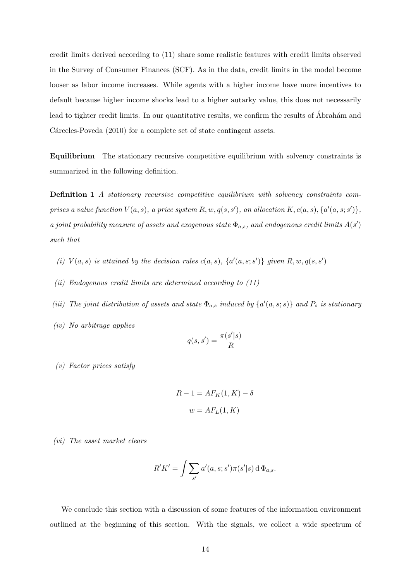credit limits derived according to [\(11\)](#page-15-2) share some realistic features with credit limits observed in the Survey of Consumer Finances (SCF). As in the data, credit limits in the model become looser as labor income increases. While agents with a higher income have more incentives to default because higher income shocks lead to a higher autarky value, this does not necessarily lead to tighter credit limits. In our quantitative results, we confirm the results of Abrahám and Cárceles-Poveda [\(2010\)](#page-34-0) for a complete set of state contingent assets.

Equilibrium The stationary recursive competitive equilibrium with solvency constraints is summarized in the following definition.

Definition 1 A stationary recursive competitive equilibrium with solvency constraints comprises a value function  $V(a, s)$ , a price system  $R, w, q(s, s')$ , an allocation  $K, c(a, s), \{a'(a, s; s')\},$ a joint probability measure of assets and exogenous state  $\Phi_{a,s}$ , and endogenous credit limits  $A(s')$ such that

- (i)  $V(a, s)$  is attained by the decision rules  $c(a, s)$ ,  $\{a'(a, s; s')\}$  given  $R, w, q(s, s')$
- (ii) Endogenous credit limits are determined according to [\(11\)](#page-15-2)
- (iii) The joint distribution of assets and state  $\Phi_{a,s}$  induced by  $\{a'(a,s;s)\}$  and  $P_s$  is stationary
- (iv) No arbitrage applies

$$
q(s, s') = \frac{\pi(s'|s)}{R}
$$

(v) Factor prices satisfy

$$
R - 1 = AF_K(1, K) - \delta
$$

$$
w = AF_L(1, K)
$$

(vi) The asset market clears

$$
R'K' = \int \sum_{s'} a'(a, s; s')\pi(s'|s) d\Phi_{a,s}.
$$

We conclude this section with a discussion of some features of the information environment outlined at the beginning of this section. With the signals, we collect a wide spectrum of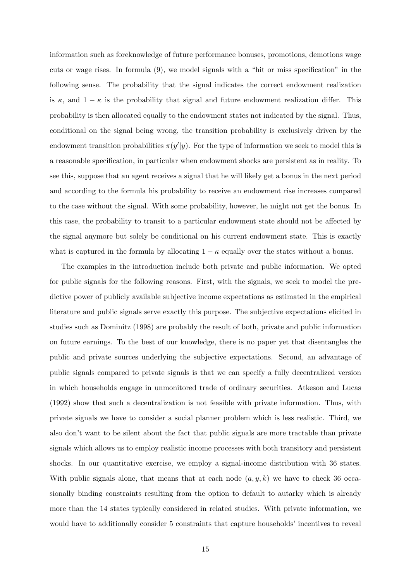information such as foreknowledge of future performance bonuses, promotions, demotions wage cuts or wage rises. In formula [\(9\)](#page-13-1), we model signals with a "hit or miss specification" in the following sense. The probability that the signal indicates the correct endowment realization is  $\kappa$ , and  $1 - \kappa$  is the probability that signal and future endowment realization differ. This probability is then allocated equally to the endowment states not indicated by the signal. Thus, conditional on the signal being wrong, the transition probability is exclusively driven by the endowment transition probabilities  $\pi(y'|y)$ . For the type of information we seek to model this is a reasonable specification, in particular when endowment shocks are persistent as in reality. To see this, suppose that an agent receives a signal that he will likely get a bonus in the next period and according to the formula his probability to receive an endowment rise increases compared to the case without the signal. With some probability, however, he might not get the bonus. In this case, the probability to transit to a particular endowment state should not be affected by the signal anymore but solely be conditional on his current endowment state. This is exactly what is captured in the formula by allocating  $1 - \kappa$  equally over the states without a bonus.

The examples in the introduction include both private and public information. We opted for public signals for the following reasons. First, with the signals, we seek to model the predictive power of publicly available subjective income expectations as estimated in the empirical literature and public signals serve exactly this purpose. The subjective expectations elicited in studies such as [Dominitz](#page-35-1) [\(1998\)](#page-35-1) are probably the result of both, private and public information on future earnings. To the best of our knowledge, there is no paper yet that disentangles the public and private sources underlying the subjective expectations. Second, an advantage of public signals compared to private signals is that we can specify a fully decentralized version in which households engage in unmonitored trade of ordinary securities. [Atkeson and Lucas](#page-35-11) [\(1992\)](#page-35-11) show that such a decentralization is not feasible with private information. Thus, with private signals we have to consider a social planner problem which is less realistic. Third, we also don't want to be silent about the fact that public signals are more tractable than private signals which allows us to employ realistic income processes with both transitory and persistent shocks. In our quantitative exercise, we employ a signal-income distribution with 36 states. With public signals alone, that means that at each node  $(a, y, k)$  we have to check 36 occasionally binding constraints resulting from the option to default to autarky which is already more than the 14 states typically considered in related studies. With private information, we would have to additionally consider 5 constraints that capture households' incentives to reveal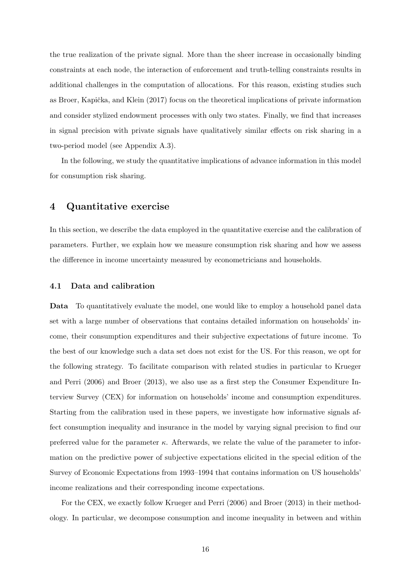the true realization of the private signal. More than the sheer increase in occasionally binding constraints at each node, the interaction of enforcement and truth-telling constraints results in additional challenges in the computation of allocations. For this reason, existing studies such as Broer, Kapička, and Klein [\(2017\)](#page-35-12) focus on the theoretical implications of private information and consider stylized endowment processes with only two states. Finally, we find that increases in signal precision with private signals have qualitatively similar effects on risk sharing in a two-period model (see Appendix [A.3\)](#page-44-0).

In the following, we study the quantitative implications of advance information in this model for consumption risk sharing.

# <span id="page-18-0"></span>4 Quantitative exercise

In this section, we describe the data employed in the quantitative exercise and the calibration of parameters. Further, we explain how we measure consumption risk sharing and how we assess the difference in income uncertainty measured by econometricians and households.

#### 4.1 Data and calibration

Data To quantitatively evaluate the model, one would like to employ a household panel data set with a large number of observations that contains detailed information on households' income, their consumption expenditures and their subjective expectations of future income. To the best of our knowledge such a data set does not exist for the US. For this reason, we opt for the following strategy. To facilitate comparison with related studies in particular to [Krueger](#page-36-8) [and Perri](#page-36-8) [\(2006\)](#page-36-8) and [Broer](#page-35-10) [\(2013\)](#page-35-10), we also use as a first step the Consumer Expenditure Interview Survey (CEX) for information on households' income and consumption expenditures. Starting from the calibration used in these papers, we investigate how informative signals affect consumption inequality and insurance in the model by varying signal precision to find our preferred value for the parameter  $\kappa$ . Afterwards, we relate the value of the parameter to information on the predictive power of subjective expectations elicited in the special edition of the Survey of Economic Expectations from 1993–1994 that contains information on US households' income realizations and their corresponding income expectations.

For the CEX, we exactly follow [Krueger and Perri](#page-36-8) [\(2006\)](#page-36-8) and [Broer](#page-35-10) [\(2013\)](#page-35-10) in their methodology. In particular, we decompose consumption and income inequality in between and within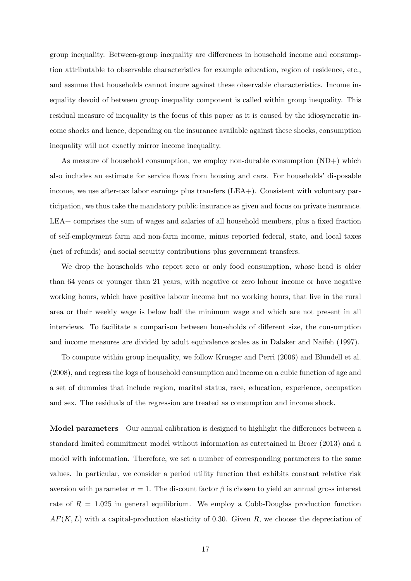group inequality. Between-group inequality are differences in household income and consumption attributable to observable characteristics for example education, region of residence, etc., and assume that households cannot insure against these observable characteristics. Income inequality devoid of between group inequality component is called within group inequality. This residual measure of inequality is the focus of this paper as it is caused by the idiosyncratic income shocks and hence, depending on the insurance available against these shocks, consumption inequality will not exactly mirror income inequality.

As measure of household consumption, we employ non-durable consumption  $(ND+)$  which also includes an estimate for service flows from housing and cars. For households' disposable income, we use after-tax labor earnings plus transfers (LEA+). Consistent with voluntary participation, we thus take the mandatory public insurance as given and focus on private insurance. LEA+ comprises the sum of wages and salaries of all household members, plus a fixed fraction of self-employment farm and non-farm income, minus reported federal, state, and local taxes (net of refunds) and social security contributions plus government transfers.

We drop the households who report zero or only food consumption, whose head is older than 64 years or younger than 21 years, with negative or zero labour income or have negative working hours, which have positive labour income but no working hours, that live in the rural area or their weekly wage is below half the minimum wage and which are not present in all interviews. To facilitate a comparison between households of different size, the consumption and income measures are divided by adult equivalence scales as in [Dalaker and Naifeh](#page-35-13) [\(1997\)](#page-35-13).

To compute within group inequality, we follow [Krueger and Perri](#page-36-8) [\(2006\)](#page-36-8) and [Blundell et al.](#page-35-7) [\(2008\)](#page-35-7), and regress the logs of household consumption and income on a cubic function of age and a set of dummies that include region, marital status, race, education, experience, occupation and sex. The residuals of the regression are treated as consumption and income shock.

Model parameters Our annual calibration is designed to highlight the differences between a standard limited commitment model without information as entertained in [Broer](#page-35-10) [\(2013\)](#page-35-10) and a model with information. Therefore, we set a number of corresponding parameters to the same values. In particular, we consider a period utility function that exhibits constant relative risk aversion with parameter  $\sigma = 1$ . The discount factor  $\beta$  is chosen to yield an annual gross interest rate of  $R = 1.025$  in general equilibrium. We employ a Cobb-Douglas production function  $AF(K, L)$  with a capital-production elasticity of 0.30. Given R, we choose the depreciation of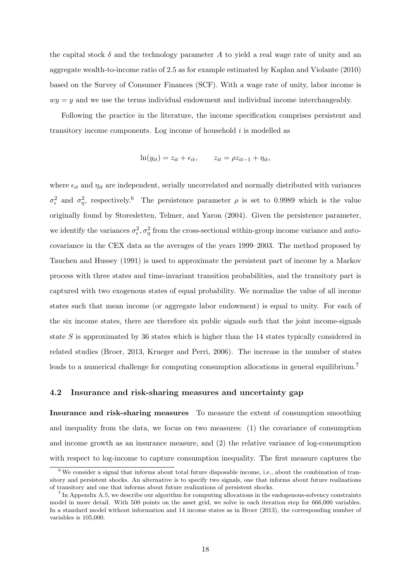the capital stock  $\delta$  and the technology parameter A to yield a real wage rate of unity and an aggregate wealth-to-income ratio of 2.5 as for example estimated by [Kaplan and Violante](#page-36-2) [\(2010\)](#page-36-2) based on the Survey of Consumer Finances (SCF). With a wage rate of unity, labor income is  $wy = y$  and we use the terms individual endowment and individual income interchangeably.

Following the practice in the literature, the income specification comprises persistent and transitory income components. Log income of household  $i$  is modelled as

$$
\ln(y_{it}) = z_{it} + \epsilon_{it}, \qquad z_{it} = \rho z_{it-1} + \eta_{it},
$$

where  $\epsilon_{it}$  and  $\eta_{it}$  are independent, serially uncorrelated and normally distributed with variances  $\sigma_{\epsilon}^2$  and  $\sigma_{\eta}^2$ , respectively.<sup>[6](#page-20-0)</sup> The persistence parameter  $\rho$  is set to 0.9989 which is the value originally found by [Storesletten, Telmer, and Yaron](#page-37-2) [\(2004\)](#page-37-2). Given the persistence parameter, we identify the variances  $\sigma_{\epsilon}^2$ ,  $\sigma_{\eta}^2$  from the cross-sectional within-group income variance and autocovariance in the CEX data as the averages of the years 1999–2003. The method proposed by [Tauchen and Hussey](#page-37-3) [\(1991\)](#page-37-3) is used to approximate the persistent part of income by a Markov process with three states and time-invariant transition probabilities, and the transitory part is captured with two exogenous states of equal probability. We normalize the value of all income states such that mean income (or aggregate labor endowment) is equal to unity. For each of the six income states, there are therefore six public signals such that the joint income-signals state S is approximated by 36 states which is higher than the 14 states typically considered in related studies [\(Broer,](#page-35-10) [2013,](#page-35-10) [Krueger and Perri,](#page-36-8) [2006\)](#page-36-8). The increase in the number of states leads to a numerical challenge for computing consumption allocations in general equilibrium.<sup>[7](#page-20-1)</sup>

#### 4.2 Insurance and risk-sharing measures and uncertainty gap

Insurance and risk-sharing measures To measure the extent of consumption smoothing and inequality from the data, we focus on two measures: (1) the covariance of consumption and income growth as an insurance measure, and (2) the relative variance of log-consumption with respect to log-income to capture consumption inequality. The first measure captures the

<span id="page-20-0"></span> $6$  We consider a signal that informs about total future disposable income, i.e., about the combination of transitory and persistent shocks. An alternative is to specify two signals, one that informs about future realizations of transitory and one that informs about future realizations of persistent shocks.

<span id="page-20-1"></span><sup>&</sup>lt;sup>7</sup> In Appendix [A.5,](#page-47-0) we describe our algorithm for computing allocations in the endogenous-solvency constraints model in more detail. With 500 points on the asset grid, we solve in each iteration step for 666,000 variables. In a standard model without information and 14 income states as in [Broer](#page-35-10) [\(2013\)](#page-35-10), the corresponding number of variables is 105,000.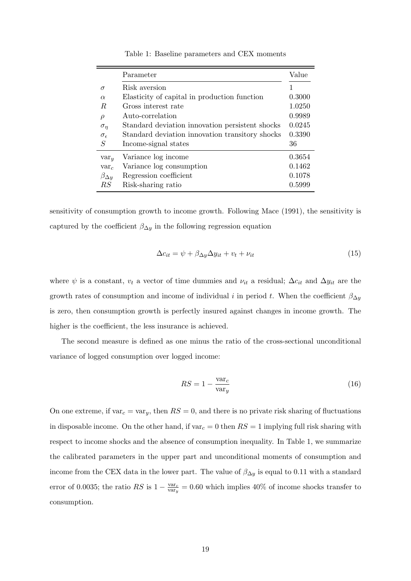<span id="page-21-0"></span>

|                     | Parameter                                       | Value  |
|---------------------|-------------------------------------------------|--------|
| $\sigma$            | Risk aversion                                   |        |
| $\alpha$            | Elasticity of capital in production function    | 0.3000 |
| R.                  | Gross interest rate                             | 1.0250 |
| $\rho$              | Auto-correlation                                | 0.9989 |
| $\sigma_n$          | Standard deviation innovation persistent shocks | 0.0245 |
| $\sigma_{\epsilon}$ | Standard deviation innovation transitory shocks | 0.3390 |
| S                   | Income-signal states                            | 36     |
| var <sub>y</sub>    | Variance log income                             | 0.3654 |
| $var_c$             | Variance log consumption                        | 0.1462 |
| $\beta_{\Delta y}$  | Regression coefficient                          | 0.1078 |
| RS                  | Risk-sharing ratio                              | 0.5999 |

Table 1: Baseline parameters and CEX moments

sensitivity of consumption growth to income growth. Following [Mace](#page-36-12) [\(1991\)](#page-36-12), the sensitivity is captured by the coefficient  $\beta_{\Delta y}$  in the following regression equation

$$
\Delta c_{it} = \psi + \beta_{\Delta y} \Delta y_{it} + v_t + v_{it} \tag{15}
$$

where  $\psi$  is a constant,  $v_t$  a vector of time dummies and  $\nu_{it}$  a residual;  $\Delta c_{it}$  and  $\Delta y_{it}$  are the growth rates of consumption and income of individual i in period t. When the coefficient  $\beta_{\Delta y}$ is zero, then consumption growth is perfectly insured against changes in income growth. The higher is the coefficient, the less insurance is achieved.

The second measure is defined as one minus the ratio of the cross-sectional unconditional variance of logged consumption over logged income:

$$
RS = 1 - \frac{\text{var}_c}{\text{var}_y} \tag{16}
$$

On one extreme, if  $var_c = var_y$ , then  $RS = 0$ , and there is no private risk sharing of fluctuations in disposable income. On the other hand, if  $var_c = 0$  then  $RS = 1$  implying full risk sharing with respect to income shocks and the absence of consumption inequality. In Table [1,](#page-21-0) we summarize the calibrated parameters in the upper part and unconditional moments of consumption and income from the CEX data in the lower part. The value of  $\beta_{\Delta y}$  is equal to 0.11 with a standard error of 0.0035; the ratio RS is  $1 - \frac{\text{var}_c}{\text{var}}$  $\frac{\text{var}_c}{\text{var}_y} = 0.60$  which implies 40% of income shocks transfer to consumption.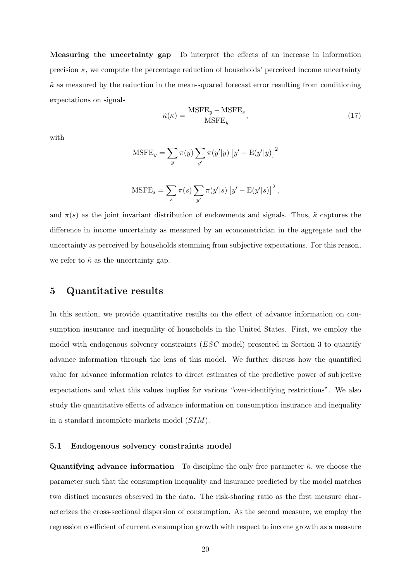Measuring the uncertainty gap To interpret the effects of an increase in information precision  $\kappa$ , we compute the percentage reduction of households' perceived income uncertainty  $\tilde{\kappa}$  as measured by the reduction in the mean-squared forecast error resulting from conditioning expectations on signals

$$
\tilde{\kappa}(\kappa) = \frac{\text{MSFE}_y - \text{MSFE}_s}{\text{MSFE}_y},\tag{17}
$$

with

$$
\text{MSFE}_y = \sum_{y} \pi(y) \sum_{y'} \pi(y'|y) \left[ y' - \text{E}(y'|y) \right]^2
$$

MSTE<sub>s</sub> = 
$$
\sum_{s} \pi(s) \sum_{y'} \pi(y'|s) [y'-E(y'|s)]^{2},
$$

and  $\pi(s)$  as the joint invariant distribution of endowments and signals. Thus,  $\tilde{\kappa}$  captures the difference in income uncertainty as measured by an econometrician in the aggregate and the uncertainty as perceived by households stemming from subjective expectations. For this reason, we refer to  $\tilde{\kappa}$  as the uncertainty gap.

## <span id="page-22-0"></span>5 Quantitative results

In this section, we provide quantitative results on the effect of advance information on consumption insurance and inequality of households in the United States. First, we employ the model with endogenous solvency constraints (ESC model) presented in Section [3](#page-12-0) to quantify advance information through the lens of this model. We further discuss how the quantified value for advance information relates to direct estimates of the predictive power of subjective expectations and what this values implies for various "over-identifying restrictions". We also study the quantitative effects of advance information on consumption insurance and inequality in a standard incomplete markets model (SIM).

#### 5.1 Endogenous solvency constraints model

**Quantifying advance information** To discipline the only free parameter  $\tilde{\kappa}$ , we choose the parameter such that the consumption inequality and insurance predicted by the model matches two distinct measures observed in the data. The risk-sharing ratio as the first measure characterizes the cross-sectional dispersion of consumption. As the second measure, we employ the regression coefficient of current consumption growth with respect to income growth as a measure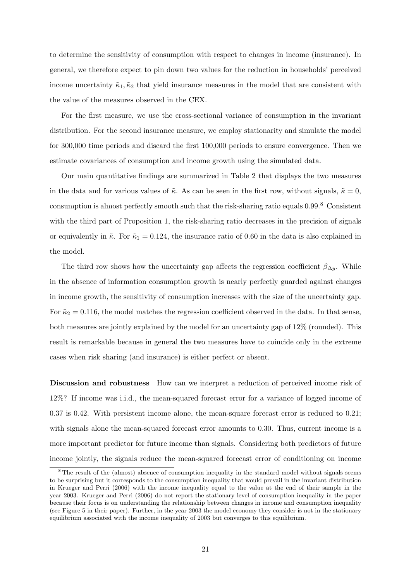to determine the sensitivity of consumption with respect to changes in income (insurance). In general, we therefore expect to pin down two values for the reduction in households' perceived income uncertainty  $\tilde{\kappa}_1, \tilde{\kappa}_2$  that yield insurance measures in the model that are consistent with the value of the measures observed in the CEX.

For the first measure, we use the cross-sectional variance of consumption in the invariant distribution. For the second insurance measure, we employ stationarity and simulate the model for 300,000 time periods and discard the first 100,000 periods to ensure convergence. Then we estimate covariances of consumption and income growth using the simulated data.

Our main quantitative findings are summarized in Table [2](#page-24-0) that displays the two measures in the data and for various values of  $\tilde{\kappa}$ . As can be seen in the first row, without signals,  $\tilde{\kappa} = 0$ , consumption is almost perfectly smooth such that the risk-sharing ratio equals 0.99.[8](#page-23-0) Consistent with the third part of Proposition [1,](#page-10-5) the risk-sharing ratio decreases in the precision of signals or equivalently in  $\tilde{\kappa}$ . For  $\tilde{\kappa}_1 = 0.124$ , the insurance ratio of 0.60 in the data is also explained in the model.

The third row shows how the uncertainty gap affects the regression coefficient  $\beta_{\Delta y}$ . While in the absence of information consumption growth is nearly perfectly guarded against changes in income growth, the sensitivity of consumption increases with the size of the uncertainty gap. For  $\tilde{\kappa}_2 = 0.116$ , the model matches the regression coefficient observed in the data. In that sense, both measures are jointly explained by the model for an uncertainty gap of 12% (rounded). This result is remarkable because in general the two measures have to coincide only in the extreme cases when risk sharing (and insurance) is either perfect or absent.

Discussion and robustness How can we interpret a reduction of perceived income risk of 12%? If income was i.i.d., the mean-squared forecast error for a variance of logged income of 0.37 is 0.42. With persistent income alone, the mean-square forecast error is reduced to 0.21; with signals alone the mean-squared forecast error amounts to 0.30. Thus, current income is a more important predictor for future income than signals. Considering both predictors of future income jointly, the signals reduce the mean-squared forecast error of conditioning on income

<span id="page-23-0"></span><sup>&</sup>lt;sup>8</sup> The result of the (almost) absence of consumption inequality in the standard model without signals seems to be surprising but it corresponds to the consumption inequality that would prevail in the invariant distribution in [Krueger and Perri](#page-36-8) [\(2006\)](#page-36-8) with the income inequality equal to the value at the end of their sample in the year 2003. [Krueger and Perri](#page-36-8) [\(2006\)](#page-36-8) do not report the stationary level of consumption inequality in the paper because their focus is on understanding the relationship between changes in income and consumption inequality (see Figure 5 in their paper). Further, in the year 2003 the model economy they consider is not in the stationary equilibrium associated with the income inequality of 2003 but converges to this equilibrium.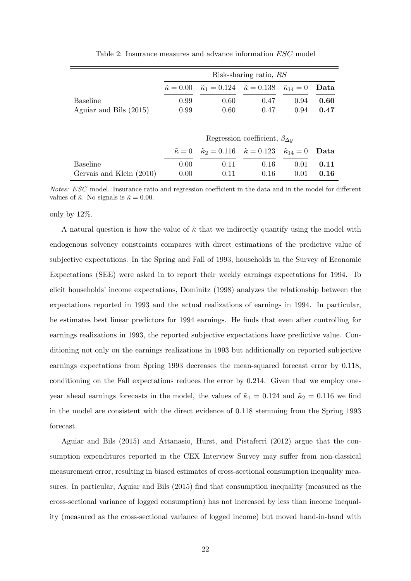<span id="page-24-0"></span>

|                          | Risk-sharing ratio, RS  |                                                                               |                                                                               |      |      |
|--------------------------|-------------------------|-------------------------------------------------------------------------------|-------------------------------------------------------------------------------|------|------|
|                          | $\tilde{\kappa} = 0.00$ | $\tilde{\kappa}_1 = 0.124$ $\tilde{\kappa} = 0.138$ $\tilde{\kappa}_{14} = 0$ |                                                                               |      | Data |
| <b>Baseline</b>          | 0.99                    | 0.60                                                                          | 0.47                                                                          | 0.94 | 0.60 |
| Aguiar and Bils (2015)   | 0.99                    | 0.60                                                                          | 0.47                                                                          | 0.94 | 0.47 |
|                          |                         |                                                                               |                                                                               |      |      |
|                          |                         |                                                                               | Regression coefficient, $\beta_{\Delta y}$                                    |      |      |
|                          | $\tilde{\kappa}=0$      |                                                                               | $\tilde{\kappa}_2 = 0.116$ $\tilde{\kappa} = 0.123$ $\tilde{\kappa}_{14} = 0$ |      | Data |
| <b>Baseline</b>          | 0.00                    | 0.11                                                                          | 0.16                                                                          | 0.01 | 0.11 |
| Gervais and Klein (2010) | 0.00                    | 0.11                                                                          | 0.16                                                                          | 0.01 | 0.16 |

Table 2: Insurance measures and advance information ESC model

Notes: ESC model. Insurance ratio and regression coefficient in the data and in the model for different values of  $\tilde{\kappa}$ . No signals is  $\tilde{\kappa} = 0.00$ .

only by 12%.

A natural question is how the value of  $\tilde{\kappa}$  that we indirectly quantify using the model with endogenous solvency constraints compares with direct estimations of the predictive value of subjective expectations. In the Spring and Fall of 1993, households in the Survey of Economic Expectations (SEE) were asked in to report their weekly earnings expectations for 1994. To elicit households' income expectations, [Dominitz](#page-35-1) [\(1998\)](#page-35-1) analyzes the relationship between the expectations reported in 1993 and the actual realizations of earnings in 1994. In particular, he estimates best linear predictors for 1994 earnings. He finds that even after controlling for earnings realizations in 1993, the reported subjective expectations have predictive value. Conditioning not only on the earnings realizations in 1993 but additionally on reported subjective earnings expectations from Spring 1993 decreases the mean-squared forecast error by 0.118, conditioning on the Fall expectations reduces the error by 0.214. Given that we employ oneyear ahead earnings forecasts in the model, the values of  $\tilde{\kappa}_1 = 0.124$  and  $\tilde{\kappa}_2 = 0.116$  we find in the model are consistent with the direct evidence of 0.118 stemming from the Spring 1993 forecast.

[Aguiar and Bils](#page-34-1) [\(2015\)](#page-34-1) and [Attanasio, Hurst, and Pistaferri](#page-35-14) [\(2012\)](#page-35-14) argue that the consumption expenditures reported in the CEX Interview Survey may suffer from non-classical measurement error, resulting in biased estimates of cross-sectional consumption inequality measures. In particular, [Aguiar and Bils](#page-34-1) [\(2015\)](#page-34-1) find that consumption inequality (measured as the cross-sectional variance of logged consumption) has not increased by less than income inequality (measured as the cross-sectional variance of logged income) but moved hand-in-hand with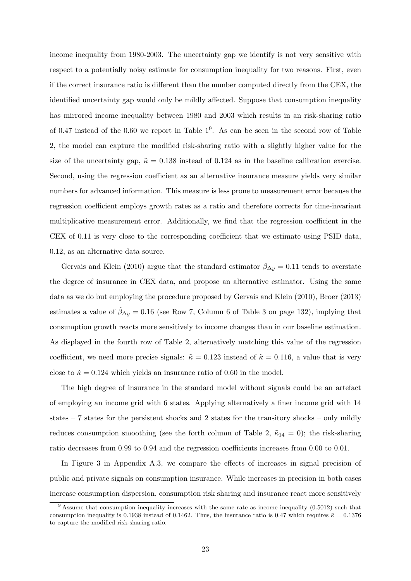income inequality from 1980-2003. The uncertainty gap we identify is not very sensitive with respect to a potentially noisy estimate for consumption inequality for two reasons. First, even if the correct insurance ratio is different than the number computed directly from the CEX, the identified uncertainty gap would only be mildly affected. Suppose that consumption inequality has mirrored income inequality between 1980 and 2003 which results in an risk-sharing ratio of 0.47 instead of the 0.60 we report in Table  $1^9$  $1^9$  $1^9$ . As can be seen in the second row of Table [2,](#page-24-0) the model can capture the modified risk-sharing ratio with a slightly higher value for the size of the uncertainty gap,  $\tilde{\kappa} = 0.138$  instead of 0.124 as in the baseline calibration exercise. Second, using the regression coefficient as an alternative insurance measure yields very similar numbers for advanced information. This measure is less prone to measurement error because the regression coefficient employs growth rates as a ratio and therefore corrects for time-invariant multiplicative measurement error. Additionally, we find that the regression coefficient in the CEX of 0.11 is very close to the corresponding coefficient that we estimate using PSID data, 0.12, as an alternative data source.

[Gervais and Klein](#page-36-13) [\(2010\)](#page-36-13) argue that the standard estimator  $\beta_{\Delta y} = 0.11$  tends to overstate the degree of insurance in CEX data, and propose an alternative estimator. Using the same data as we do but employing the procedure proposed by [Gervais and Klein](#page-36-13) [\(2010\)](#page-36-13), [Broer](#page-35-10) [\(2013\)](#page-35-10) estimates a value of  $\beta_{\Delta y} = 0.16$  (see Row 7, Column 6 of Table 3 on page 132), implying that consumption growth reacts more sensitively to income changes than in our baseline estimation. As displayed in the fourth row of Table [2,](#page-24-0) alternatively matching this value of the regression coefficient, we need more precise signals:  $\tilde{\kappa} = 0.123$  instead of  $\tilde{\kappa} = 0.116$ , a value that is very close to  $\tilde{\kappa} = 0.124$  which yields an insurance ratio of 0.60 in the model.

The high degree of insurance in the standard model without signals could be an artefact of employing an income grid with 6 states. Applying alternatively a finer income grid with 14 states – 7 states for the persistent shocks and 2 states for the transitory shocks – only mildly reduces consumption smoothing (see the forth column of Table [2,](#page-24-0)  $\tilde{\kappa}_{14} = 0$ ); the risk-sharing ratio decreases from 0.99 to 0.94 and the regression coefficients increases from 0.00 to 0.01.

In Figure [3](#page-46-0) in Appendix [A.3,](#page-44-0) we compare the effects of increases in signal precision of public and private signals on consumption insurance. While increases in precision in both cases increase consumption dispersion, consumption risk sharing and insurance react more sensitively

<span id="page-25-0"></span> $9$  Assume that consumption inequality increases with the same rate as income inequality (0.5012) such that consumption inequality is 0.1938 instead of 0.1462. Thus, the insurance ratio is 0.47 which requires  $\tilde{\kappa} = 0.1376$ to capture the modified risk-sharing ratio.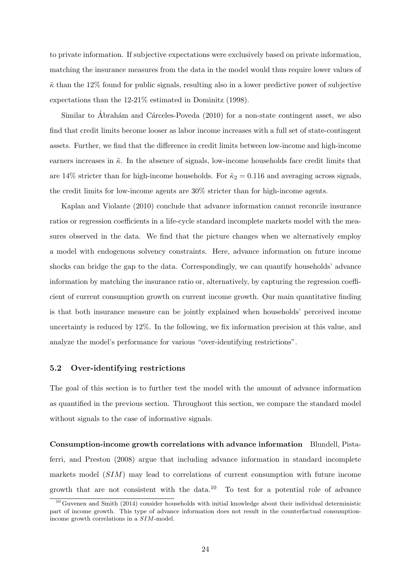to private information. If subjective expectations were exclusively based on private information, matching the insurance measures from the data in the model would thus require lower values of  $\tilde{\kappa}$  than the 12% found for public signals, resulting also in a lower predictive power of subjective expectations than the 12-21% estimated in [Dominitz](#page-35-1) [\(1998\)](#page-35-1).

Similar to Ábrahám and Cárceles-Poveda [\(2010\)](#page-34-0) for a non-state contingent asset, we also find that credit limits become looser as labor income increases with a full set of state-contingent assets. Further, we find that the difference in credit limits between low-income and high-income earners increases in  $\tilde{\kappa}$ . In the absence of signals, low-income households face credit limits that are 14% stricter than for high-income households. For  $\tilde{\kappa}_2 = 0.116$  and averaging across signals, the credit limits for low-income agents are 30% stricter than for high-income agents.

[Kaplan and Violante](#page-36-2) [\(2010\)](#page-36-2) conclude that advance information cannot reconcile insurance ratios or regression coefficients in a life-cycle standard incomplete markets model with the measures observed in the data. We find that the picture changes when we alternatively employ a model with endogenous solvency constraints. Here, advance information on future income shocks can bridge the gap to the data. Correspondingly, we can quantify households' advance information by matching the insurance ratio or, alternatively, by capturing the regression coefficient of current consumption growth on current income growth. Our main quantitative finding is that both insurance measure can be jointly explained when households' perceived income uncertainty is reduced by 12%. In the following, we fix information precision at this value, and analyze the model's performance for various "over-identifying restrictions".

#### 5.2 Over-identifying restrictions

The goal of this section is to further test the model with the amount of advance information as quantified in the previous section. Throughout this section, we compare the standard model without signals to the case of informative signals.

Consumption-income growth correlations with advance information [Blundell, Pista](#page-35-7)[ferri, and Preston](#page-35-7) [\(2008\)](#page-35-7) argue that including advance information in standard incomplete markets model (SIM) may lead to correlations of current consumption with future income growth that are not consistent with the data.<sup>[10](#page-26-0)</sup> To test for a potential role of advance

<span id="page-26-0"></span> $10$  [Guvenen and Smith](#page-36-3) [\(2014\)](#page-36-3) consider households with initial knowledge about their individual deterministic part of income growth. This type of advance information does not result in the counterfactual consumptionincome growth correlations in a SIM-model.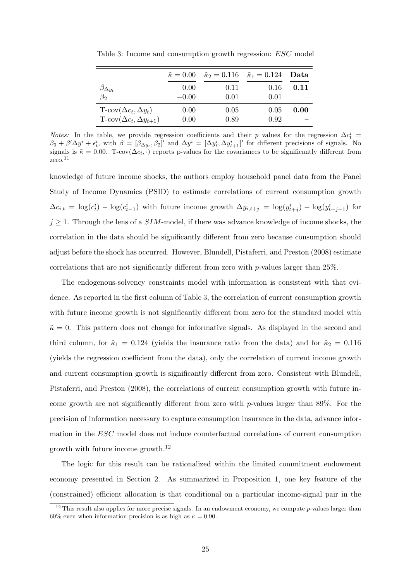|                                            | $\tilde{\kappa} = 0.00$ | $\tilde{\kappa}_2 = 0.116$ $\tilde{\kappa}_1 = 0.124$ |      | Data |
|--------------------------------------------|-------------------------|-------------------------------------------------------|------|------|
| $\rho_{\Delta y_t}$                        | 0.00                    | 0.11                                                  | 0.16 | 0.11 |
| $\beta_2$                                  | $-0.00$                 | 0.01                                                  | 0.01 |      |
| $T\text{-cov}(\Delta c_t, \Delta y_t)$     | 0.00                    | 0.05                                                  | 0.05 | 0.00 |
| $T\text{-cov}(\Delta c_t, \Delta y_{t+1})$ | 0.00                    | 0.89                                                  | 0.92 |      |

<span id="page-27-0"></span>Table 3: Income and consumption growth regression: ESC model

*Notes:* In the table, we provide regression coefficients and their p values for the regression  $\Delta c_t^i$  =  $\beta_0 + \beta' \Delta y^i + \epsilon_t^i$ , with  $\beta = [\beta_{\Delta y_t}, \beta_2]'$  and  $\Delta y^i = [\Delta y_t^i, \Delta y_{t+1}^i]'$  for different precisions of signals. No signals is  $\tilde{\kappa} = 0.00$ . T-cov( $\Delta c_t$ , ·) reports p-values for the covariances to be significantly different from  $zero.<sup>11</sup>$  $zero.<sup>11</sup>$  $zero.<sup>11</sup>$ 

knowledge of future income shocks, the authors employ household panel data from the Panel Study of Income Dynamics (PSID) to estimate correlations of current consumption growth  $\Delta c_{i,t} = \log(c_t^i) - \log(c_{t-1}^i)$  with future income growth  $\Delta y_{i,t+j} = \log(y_{t+j}^i) - \log(y_{t+j-1}^i)$  for  $j \geq 1$ . Through the lens of a SIM-model, if there was advance knowledge of income shocks, the correlation in the data should be significantly different from zero because consumption should adjust before the shock has occurred. However, [Blundell, Pistaferri, and Preston](#page-35-7) [\(2008\)](#page-35-7) estimate correlations that are not significantly different from zero with p-values larger than 25%.

The endogenous-solvency constraints model with information is consistent with that evidence. As reported in the first column of Table [3,](#page-27-0) the correlation of current consumption growth with future income growth is not significantly different from zero for the standard model with  $\tilde{\kappa} = 0$ . This pattern does not change for informative signals. As displayed in the second and third column, for  $\tilde{\kappa}_1 = 0.124$  (yields the insurance ratio from the data) and for  $\tilde{\kappa}_2 = 0.116$ (yields the regression coefficient from the data), only the correlation of current income growth and current consumption growth is significantly different from zero. Consistent with [Blundell,](#page-35-7) [Pistaferri, and Preston](#page-35-7) [\(2008\)](#page-35-7), the correlations of current consumption growth with future income growth are not significantly different from zero with  $p$ -values larger than 89%. For the precision of information necessary to capture consumption insurance in the data, advance information in the ESC model does not induce counterfactual correlations of current consumption growth with future income growth.[12](#page-27-1)

The logic for this result can be rationalized within the limited commitment endowment economy presented in Section [2.](#page-8-0) As summarized in Proposition [1,](#page-10-5) one key feature of the (constrained) efficient allocation is that conditional on a particular income-signal pair in the

<span id="page-27-1"></span> $12$  This result also applies for more precise signals. In an endowment economy, we compute p-values larger than 60% even when information precision is as high as  $\kappa = 0.90$ .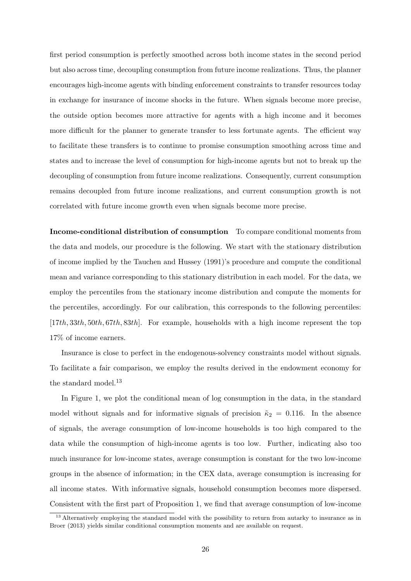first period consumption is perfectly smoothed across both income states in the second period but also across time, decoupling consumption from future income realizations. Thus, the planner encourages high-income agents with binding enforcement constraints to transfer resources today in exchange for insurance of income shocks in the future. When signals become more precise, the outside option becomes more attractive for agents with a high income and it becomes more difficult for the planner to generate transfer to less fortunate agents. The efficient way to facilitate these transfers is to continue to promise consumption smoothing across time and states and to increase the level of consumption for high-income agents but not to break up the decoupling of consumption from future income realizations. Consequently, current consumption remains decoupled from future income realizations, and current consumption growth is not correlated with future income growth even when signals become more precise.

Income-conditional distribution of consumption To compare conditional moments from the data and models, our procedure is the following. We start with the stationary distribution of income implied by the [Tauchen and Hussey](#page-37-3) [\(1991\)](#page-37-3)'s procedure and compute the conditional mean and variance corresponding to this stationary distribution in each model. For the data, we employ the percentiles from the stationary income distribution and compute the moments for the percentiles, accordingly. For our calibration, this corresponds to the following percentiles: [17th, 33th, 50th, 67th, 83th]. For example, households with a high income represent the top 17% of income earners.

Insurance is close to perfect in the endogenous-solvency constraints model without signals. To facilitate a fair comparison, we employ the results derived in the endowment economy for the standard model.<sup>[13](#page-28-0)</sup>

In Figure [1,](#page-29-0) we plot the conditional mean of log consumption in the data, in the standard model without signals and for informative signals of precision  $\tilde{\kappa}_2 = 0.116$ . In the absence of signals, the average consumption of low-income households is too high compared to the data while the consumption of high-income agents is too low. Further, indicating also too much insurance for low-income states, average consumption is constant for the two low-income groups in the absence of information; in the CEX data, average consumption is increasing for all income states. With informative signals, household consumption becomes more dispersed. Consistent with the first part of Proposition [1,](#page-10-5) we find that average consumption of low-income

<span id="page-28-0"></span><sup>&</sup>lt;sup>13</sup> Alternatively employing the standard model with the possibility to return from autarky to insurance as in [Broer](#page-35-10) [\(2013\)](#page-35-10) yields similar conditional consumption moments and are available on request.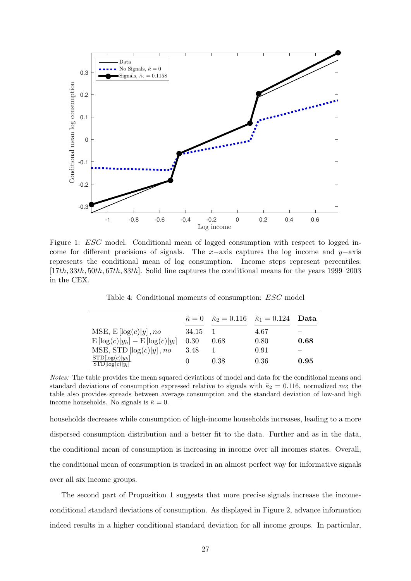<span id="page-29-0"></span>

Figure 1: *ESC* model. Conditional mean of logged consumption with respect to logged income for different precisions of signals. The x−axis captures the log income and y–axis represents the conditional mean of log consumption. Income steps represent percentiles: [17th, 33th, 50th, 67th, 83th]. Solid line captures the conditional means for the years 1999–2003 in the CEX.

Table 4: Conditional moments of consumption: ESC model

<span id="page-29-1"></span>

|                                            | $\tilde{\kappa}=0$ | $\tilde{\kappa}_2 = 0.116$ $\tilde{\kappa}_1 = 0.124$ |      | Data |
|--------------------------------------------|--------------------|-------------------------------------------------------|------|------|
| MSE, $E[log(c) y]$ , no                    | 34.15              |                                                       | 4.67 |      |
| $E[\log(c) y_h] - E[\log(c) y_l]$          | 0.30               | 0.68                                                  | 0.80 | 0.68 |
| MSE, STD $\left[ \log(c)   y \right]$ , no | 3.48               |                                                       | 0.91 |      |
| $STD[log(c) y_h]$<br>$STD[log(c) y_l]$     |                    | 0.38                                                  | 0.36 | 0.95 |

Notes: The table provides the mean squared deviations of model and data for the conditional means and standard deviations of consumption expressed relative to signals with  $\tilde{\kappa}_2 = 0.116$ , normalized no; the table also provides spreads between average consumption and the standard deviation of low-and high income households. No signals is  $\tilde{\kappa} = 0$ .

households decreases while consumption of high-income households increases, leading to a more dispersed consumption distribution and a better fit to the data. Further and as in the data, the conditional mean of consumption is increasing in income over all incomes states. Overall, the conditional mean of consumption is tracked in an almost perfect way for informative signals over all six income groups.

The second part of Proposition [1](#page-10-5) suggests that more precise signals increase the incomeconditional standard deviations of consumption. As displayed in Figure [2,](#page-30-0) advance information indeed results in a higher conditional standard deviation for all income groups. In particular,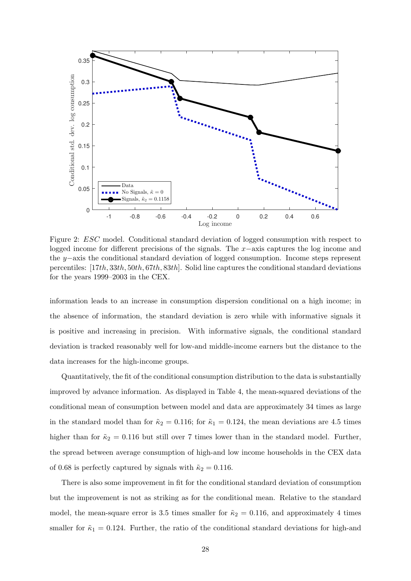<span id="page-30-0"></span>

Figure 2: ESC model. Conditional standard deviation of logged consumption with respect to logged income for different precisions of the signals. The x−axis captures the log income and the y−axis the conditional standard deviation of logged consumption. Income steps represent percentiles: [17th, 33th, 50th, 67th, 83th]. Solid line captures the conditional standard deviations for the years 1999–2003 in the CEX.

information leads to an increase in consumption dispersion conditional on a high income; in the absence of information, the standard deviation is zero while with informative signals it is positive and increasing in precision. With informative signals, the conditional standard deviation is tracked reasonably well for low-and middle-income earners but the distance to the data increases for the high-income groups.

Quantitatively, the fit of the conditional consumption distribution to the data is substantially improved by advance information. As displayed in Table [4,](#page-29-1) the mean-squared deviations of the conditional mean of consumption between model and data are approximately 34 times as large in the standard model than for  $\tilde{\kappa}_2 = 0.116$ ; for  $\tilde{\kappa}_1 = 0.124$ , the mean deviations are 4.5 times higher than for  $\tilde{\kappa}_2 = 0.116$  but still over 7 times lower than in the standard model. Further, the spread between average consumption of high-and low income households in the CEX data of 0.68 is perfectly captured by signals with  $\tilde{\kappa}_2 = 0.116$ .

There is also some improvement in fit for the conditional standard deviation of consumption but the improvement is not as striking as for the conditional mean. Relative to the standard model, the mean-square error is 3.5 times smaller for  $\tilde{\kappa}_2 = 0.116$ , and approximately 4 times smaller for  $\tilde{\kappa}_1 = 0.124$ . Further, the ratio of the conditional standard deviations for high-and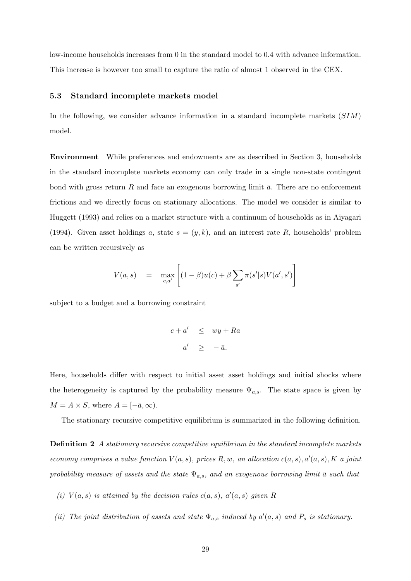low-income households increases from 0 in the standard model to 0.4 with advance information. This increase is however too small to capture the ratio of almost 1 observed in the CEX.

#### 5.3 Standard incomplete markets model

In the following, we consider advance information in a standard incomplete markets  $(SIM)$ model.

Environment While preferences and endowments are as described in Section [3,](#page-12-0) households in the standard incomplete markets economy can only trade in a single non-state contingent bond with gross return R and face an exogenous borrowing limit  $\bar{a}$ . There are no enforcement frictions and we directly focus on stationary allocations. The model we consider is similar to [Huggett](#page-36-14) [\(1993\)](#page-36-14) and relies on a market structure with a continuum of households as in [Aiyagari](#page-35-5) [\(1994\)](#page-35-5). Given asset holdings a, state  $s = (y, k)$ , and an interest rate R, households' problem can be written recursively as

$$
V(a,s) = \max_{c,a'} \left[ (1-\beta)u(c) + \beta \sum_{s'} \pi(s'|s)V(a',s') \right]
$$

subject to a budget and a borrowing constraint

$$
c + a' \leq wy + Ra
$$
  

$$
a' \geq -\bar{a}.
$$

Here, households differ with respect to initial asset asset holdings and initial shocks where the heterogeneity is captured by the probability measure  $\Psi_{a,s}$ . The state space is given by  $M = A \times S$ , where  $A = [-\bar{a}, \infty)$ .

The stationary recursive competitive equilibrium is summarized in the following definition.

**Definition 2** A stationary recursive competitive equilibrium in the standard incomplete markets economy comprises a value function  $V(a, s)$ , prices R, w, an allocation  $c(a, s)$ ,  $a'(a, s)$ , K a joint probability measure of assets and the state  $\Psi_{a,s}$ , and an exogenous borrowing limit  $\bar{a}$  such that

- (i)  $V(a,s)$  is attained by the decision rules  $c(a,s)$ ,  $a'(a,s)$  given R
- (ii) The joint distribution of assets and state  $\Psi_{a,s}$  induced by  $a'(a,s)$  and  $P_s$  is stationary.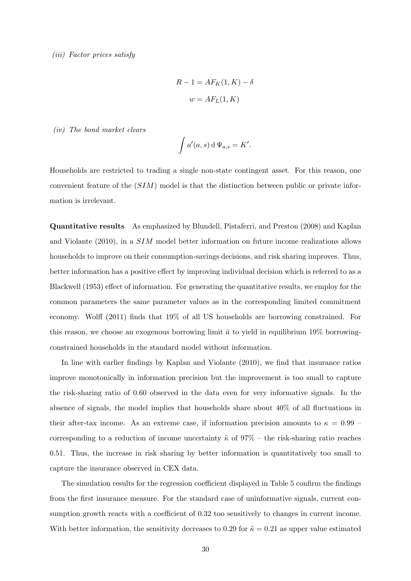$$
R - 1 = AF_K(1, K) - \delta
$$

$$
w = AF_L(1, K)
$$

(iv) The bond market clears

$$
\int a'(a,s) d\Psi_{a,s} = K'.
$$

Households are restricted to trading a single non-state contingent asset. For this reason, one convenient feature of the  $(SIM)$  model is that the distinction between public or private information is irrelevant.

Quantitative results As emphasized by [Blundell, Pistaferri, and Preston](#page-35-7) [\(2008\)](#page-35-7) and [Kaplan](#page-36-2) [and Violante](#page-36-2) [\(2010\)](#page-36-2), in a SIM model better information on future income realizations allows households to improve on their consumption-savings decisions, and risk sharing improves. Thus, better information has a positive effect by improving individual decision which is referred to as a [Blackwell](#page-35-15) [\(1953\)](#page-35-15) effect of information. For generating the quantitative results, we employ for the common parameters the same parameter values as in the corresponding limited commitment economy. [Wolff](#page-37-4) [\(2011\)](#page-37-4) finds that 19% of all US households are borrowing constrained. For this reason, we choose an exogenous borrowing limit  $\bar{a}$  to yield in equilibrium 19% borrowingconstrained households in the standard model without information.

In line with earlier findings by [Kaplan and Violante](#page-36-2) [\(2010\)](#page-36-2), we find that insurance ratios improve monotonically in information precision but the improvement is too small to capture the risk-sharing ratio of 0.60 observed in the data even for very informative signals. In the absence of signals, the model implies that households share about 40% of all fluctuations in their after-tax income. As an extreme case, if information precision amounts to  $\kappa = 0.99$  – corresponding to a reduction of income uncertainty  $\tilde{\kappa}$  of 97% – the risk-sharing ratio reaches 0.51. Thus, the increase in risk sharing by better information is quantitatively too small to capture the insurance observed in CEX data.

The simulation results for the regression coefficient displayed in Table [5](#page-33-0) confirm the findings from the first insurance measure. For the standard case of uninformative signals, current consumption growth reacts with a coefficient of 0.32 too sensitively to changes in current income. With better information, the sensitivity decreases to 0.29 for  $\tilde{\kappa} = 0.21$  as upper value estimated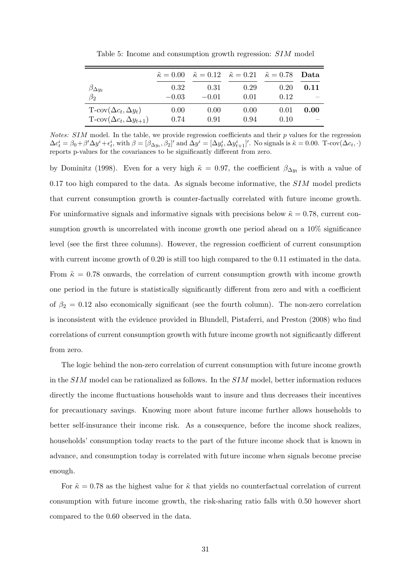<span id="page-33-0"></span>

|                                            |         | $\tilde{\kappa} = 0.00 \quad \tilde{\kappa} = 0.12 \quad \tilde{\kappa} = 0.21 \quad \tilde{\kappa} = 0.78$ |      |      | - Data |
|--------------------------------------------|---------|-------------------------------------------------------------------------------------------------------------|------|------|--------|
| $\beta_{\Delta y_t}$                       | 0.32    | 0.31                                                                                                        | 0.29 | 0.20 | 0.11   |
| $\beta_2$                                  | $-0.03$ | $-0.01$                                                                                                     | 0.01 | 0.12 |        |
| $T\text{-cov}(\Delta c_t, \Delta y_t)$     | 0.00    | 0.00                                                                                                        | 0.00 | 0.01 | 0.00   |
| $T\text{-cov}(\Delta c_t, \Delta y_{t+1})$ | 0.74    | 0.91                                                                                                        | 0.94 | 0.10 |        |

Table 5: Income and consumption growth regression: SIM model

*Notes:*  $SIM$  model. In the table, we provide regression coefficients and their  $p$  values for the regression  $\Delta c_t^i = \beta_0 + \beta' \Delta y^i + \epsilon_t^i$ , with  $\beta = [\beta_{\Delta y_t}, \beta_2]'$  and  $\Delta y^i = [\Delta y_t^i, \Delta y_{t+1}^i]'$ . No signals is  $\tilde{\kappa} = 0.00$ . T-cov $(\Delta c_t, \cdot)$ reports p-values for the covariances to be significantly different from zero.

by [Dominitz](#page-35-1) [\(1998\)](#page-35-1). Even for a very high  $\tilde{\kappa} = 0.97$ , the coefficient  $\beta_{\Delta y_t}$  is with a value of 0.17 too high compared to the data. As signals become informative, the  $SIM$  model predicts that current consumption growth is counter-factually correlated with future income growth. For uninformative signals and informative signals with precisions below  $\tilde{\kappa} = 0.78$ , current consumption growth is uncorrelated with income growth one period ahead on a 10% significance level (see the first three columns). However, the regression coefficient of current consumption with current income growth of 0.20 is still too high compared to the 0.11 estimated in the data. From  $\tilde{\kappa} = 0.78$  onwards, the correlation of current consumption growth with income growth one period in the future is statistically significantly different from zero and with a coefficient of  $\beta_2 = 0.12$  also economically significant (see the fourth column). The non-zero correlation is inconsistent with the evidence provided in [Blundell, Pistaferri, and Preston](#page-35-7) [\(2008\)](#page-35-7) who find correlations of current consumption growth with future income growth not significantly different from zero.

The logic behind the non-zero correlation of current consumption with future income growth in the SIM model can be rationalized as follows. In the SIM model, better information reduces directly the income fluctuations households want to insure and thus decreases their incentives for precautionary savings. Knowing more about future income further allows households to better self-insurance their income risk. As a consequence, before the income shock realizes, households' consumption today reacts to the part of the future income shock that is known in advance, and consumption today is correlated with future income when signals become precise enough.

For  $\tilde{\kappa} = 0.78$  as the highest value for  $\tilde{\kappa}$  that yields no counterfactual correlation of current consumption with future income growth, the risk-sharing ratio falls with 0.50 however short compared to the 0.60 observed in the data.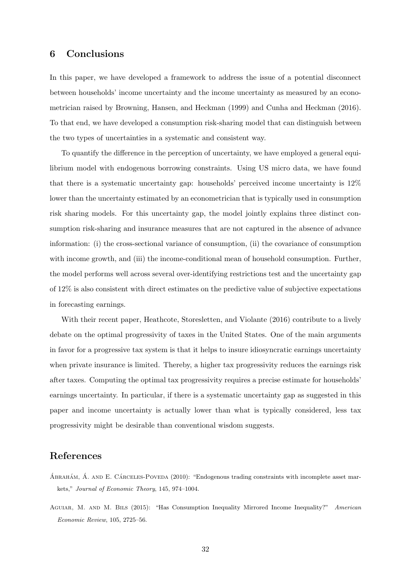# 6 Conclusions

In this paper, we have developed a framework to address the issue of a potential disconnect between households' income uncertainty and the income uncertainty as measured by an econometrician raised by [Browning, Hansen, and Heckman](#page-35-0) [\(1999\)](#page-35-0) and [Cunha and Heckman](#page-35-8) [\(2016\)](#page-35-8). To that end, we have developed a consumption risk-sharing model that can distinguish between the two types of uncertainties in a systematic and consistent way.

To quantify the difference in the perception of uncertainty, we have employed a general equilibrium model with endogenous borrowing constraints. Using US micro data, we have found that there is a systematic uncertainty gap: households' perceived income uncertainty is 12% lower than the uncertainty estimated by an econometrician that is typically used in consumption risk sharing models. For this uncertainty gap, the model jointly explains three distinct consumption risk-sharing and insurance measures that are not captured in the absence of advance information: (i) the cross-sectional variance of consumption, (ii) the covariance of consumption with income growth, and (iii) the income-conditional mean of household consumption. Further, the model performs well across several over-identifying restrictions test and the uncertainty gap of 12% is also consistent with direct estimates on the predictive value of subjective expectations in forecasting earnings.

With their recent paper, [Heathcote, Storesletten, and Violante](#page-36-15) [\(2016\)](#page-36-15) contribute to a lively debate on the optimal progressivity of taxes in the United States. One of the main arguments in favor for a progressive tax system is that it helps to insure idiosyncratic earnings uncertainty when private insurance is limited. Thereby, a higher tax progressivity reduces the earnings risk after taxes. Computing the optimal tax progressivity requires a precise estimate for households' earnings uncertainty. In particular, if there is a systematic uncertainty gap as suggested in this paper and income uncertainty is actually lower than what is typically considered, less tax progressivity might be desirable than conventional wisdom suggests.

# References

- <span id="page-34-0"></span>ABRAHÁM, Á. AND E. CÁRCELES-POVEDA (2010): "Endogenous trading constraints with incomplete asset markets," Journal of Economic Theory, 145, 974–1004.
- <span id="page-34-1"></span>Aguiar, M. and M. Bils (2015): "Has Consumption Inequality Mirrored Income Inequality?" American Economic Review, 105, 2725–56.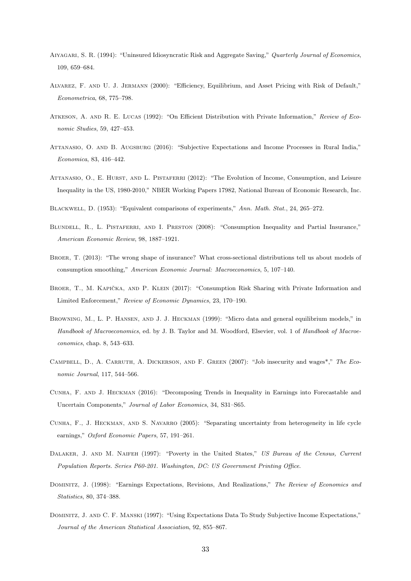- <span id="page-35-5"></span>Aiyagari, S. R. (1994): "Uninsured Idiosyncratic Risk and Aggregate Saving," Quarterly Journal of Economics, 109, 659–684.
- <span id="page-35-4"></span>Alvarez, F. and U. J. Jermann (2000): "Efficiency, Equilibrium, and Asset Pricing with Risk of Default," Econometrica, 68, 775–798.
- <span id="page-35-11"></span>ATKESON, A. AND R. E. LUCAS (1992): "On Efficient Distribution with Private Information," Review of Economic Studies, 59, 427–453.
- <span id="page-35-6"></span>Attanasio, O. and B. Augsburg (2016): "Subjective Expectations and Income Processes in Rural India," Economica, 83, 416–442.
- <span id="page-35-14"></span>ATTANASIO, O., E. HURST, AND L. PISTAFERRI (2012): "The Evolution of Income, Consumption, and Leisure Inequality in the US, 1980-2010," NBER Working Papers 17982, National Bureau of Economic Research, Inc.
- <span id="page-35-15"></span>BLACKWELL, D. (1953): "Equivalent comparisons of experiments," Ann. Math. Stat., 24, 265–272.
- <span id="page-35-7"></span>BLUNDELL, R., L. PISTAFERRI, AND I. PRESTON (2008): "Consumption Inequality and Partial Insurance," American Economic Review, 98, 1887–1921.
- <span id="page-35-10"></span>Broer, T. (2013): "The wrong shape of insurance? What cross-sectional distributions tell us about models of consumption smoothing," American Economic Journal: Macroeconomics, 5, 107–140.
- <span id="page-35-12"></span>BROER, T., M. KAPIČKA, AND P. KLEIN (2017): "Consumption Risk Sharing with Private Information and Limited Enforcement," Review of Economic Dynamics, 23, 170–190.
- <span id="page-35-0"></span>Browning, M., L. P. Hansen, and J. J. Heckman (1999): "Micro data and general equilibrium models," in Handbook of Macroeconomics, ed. by J. B. Taylor and M. Woodford, Elsevier, vol. 1 of Handbook of Macroeconomics, chap. 8, 543–633.
- <span id="page-35-3"></span>Campbell, D., A. Carruth, A. Dickerson, and F. Green (2007): "Job insecurity and wages\*," The Economic Journal, 117, 544–566.
- <span id="page-35-8"></span>Cunha, F. and J. Heckman (2016): "Decomposing Trends in Inequality in Earnings into Forecastable and Uncertain Components," Journal of Labor Economics, 34, S31–S65.
- <span id="page-35-9"></span>Cunha, F., J. Heckman, and S. Navarro (2005): "Separating uncertainty from heterogeneity in life cycle earnings," Oxford Economic Papers, 57, 191–261.
- <span id="page-35-13"></span>DALAKER, J. AND M. NAIFEH (1997): "Poverty in the United States," US Bureau of the Census, Current Population Reports. Series P60-201. Washington, DC: US Government Printing Office.
- <span id="page-35-1"></span>DOMINITZ, J. (1998): "Earnings Expectations, Revisions, And Realizations," The Review of Economics and Statistics, 80, 374–388.
- <span id="page-35-2"></span>Dominitz, J. and C. F. Manski (1997): "Using Expectations Data To Study Subjective Income Expectations," Journal of the American Statistical Association, 92, 855–867.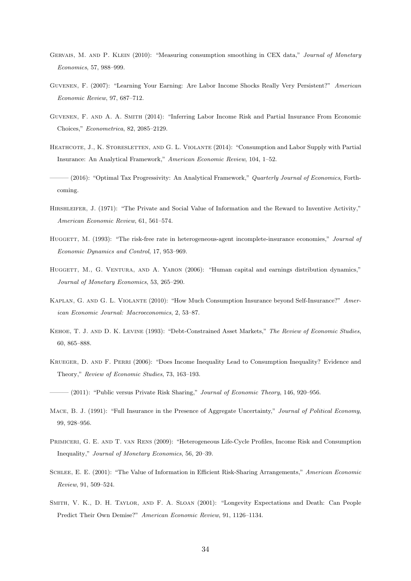- <span id="page-36-13"></span>GERVAIS, M. AND P. KLEIN (2010): "Measuring consumption smoothing in CEX data," Journal of Monetary Economics, 57, 988–999.
- <span id="page-36-4"></span>Guvenen, F. (2007): "Learning Your Earning: Are Labor Income Shocks Really Very Persistent?" American Economic Review, 97, 687–712.
- <span id="page-36-3"></span>Guvenen, F. and A. A. Smith (2014): "Inferring Labor Income Risk and Partial Insurance From Economic Choices," Econometrica, 82, 2085–2129.
- <span id="page-36-1"></span>HEATHCOTE, J., K. STORESLETTEN, AND G. L. VIOLANTE (2014): "Consumption and Labor Supply with Partial Insurance: An Analytical Framework," American Economic Review, 104, 1–52.
- <span id="page-36-15"></span> $-(2016)$ : "Optimal Tax Progressivity: An Analytical Framework," Quarterly Journal of Economics, Forthcoming.
- <span id="page-36-10"></span>Hirshleifer, J. (1971): "The Private and Social Value of Information and the Reward to Inventive Activity," American Economic Review, 61, 561–574.
- <span id="page-36-14"></span>HUGGETT, M. (1993): "The risk-free rate in heterogeneous-agent incomplete-insurance economies," Journal of Economic Dynamics and Control, 17, 953–969.
- <span id="page-36-5"></span>HUGGETT, M., G. VENTURA, AND A. YARON (2006): "Human capital and earnings distribution dynamics," Journal of Monetary Economics, 53, 265–290.
- <span id="page-36-2"></span>Kaplan, G. and G. L. Violante (2010): "How Much Consumption Insurance beyond Self-Insurance?" American Economic Journal: Macroeconomics, 2, 53–87.
- <span id="page-36-7"></span>Kehoe, T. J. and D. K. Levine (1993): "Debt-Constrained Asset Markets," The Review of Economic Studies, 60, 865–888.
- <span id="page-36-8"></span>Krueger, D. and F. Perri (2006): "Does Income Inequality Lead to Consumption Inequality? Evidence and Theory," Review of Economic Studies, 73, 163–193.

- <span id="page-36-12"></span>MACE, B. J. (1991): "Full Insurance in the Presence of Aggregate Uncertainty," Journal of Political Economy, 99, 928–956.
- <span id="page-36-6"></span>Primiceri, G. E. and T. van Rens (2009): "Heterogeneous Life-Cycle Profiles, Income Risk and Consumption Inequality," Journal of Monetary Economics, 56, 20–39.
- <span id="page-36-11"></span>Schlee, E. E. (2001): "The Value of Information in Efficient Risk-Sharing Arrangements," American Economic Review, 91, 509–524.
- <span id="page-36-0"></span>Smith, V. K., D. H. Taylor, and F. A. Sloan (2001): "Longevity Expectations and Death: Can People Predict Their Own Demise?" American Economic Review, 91, 1126–1134.

<span id="page-36-9"></span> $-(2011)$ : "Public versus Private Risk Sharing," Journal of Economic Theory, 146, 920–956.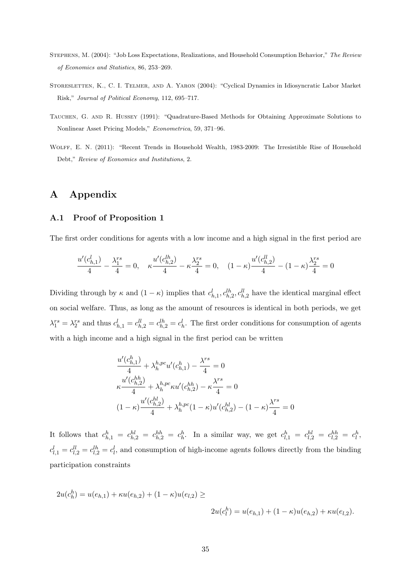- <span id="page-37-0"></span>Stephens, M. (2004): "Job Loss Expectations, Realizations, and Household Consumption Behavior," The Review of Economics and Statistics, 86, 253–269.
- <span id="page-37-2"></span>STORESLETTEN, K., C. I. TELMER, AND A. YARON (2004): "Cyclical Dynamics in Idiosyncratic Labor Market Risk," Journal of Political Economy, 112, 695–717.
- <span id="page-37-3"></span>Tauchen, G. and R. Hussey (1991): "Quadrature-Based Methods for Obtaining Approximate Solutions to Nonlinear Asset Pricing Models," Econometrica, 59, 371–96.
- <span id="page-37-4"></span>Wolff, E. N. (2011): "Recent Trends in Household Wealth, 1983-2009: The Irresistible Rise of Household Debt," Review of Economics and Institutions, 2.

# A Appendix

#### <span id="page-37-1"></span>A.1 Proof of Proposition [1](#page-10-5)

The first order conditions for agents with a low income and a high signal in the first period are

$$
\frac{u'(c_{h,1}^l)}{4} - \frac{\lambda_1^{rs}}{4} = 0, \quad \kappa \frac{u'(c_{h,2}^{lh})}{4} - \kappa \frac{\lambda_2^{rs}}{4} = 0, \quad (1 - \kappa) \frac{u'(c_{h,2}^{ll})}{4} - (1 - \kappa) \frac{\lambda_2^{rs}}{4} = 0
$$

Dividing through by  $\kappa$  and  $(1 - \kappa)$  implies that  $c_{h,1}^l, c_{h,2}^{l h}, c_{h,2}^{l l}$  have the identical marginal effect on social welfare. Thus, as long as the amount of resources is identical in both periods, we get  $\lambda_1^{rs} = \lambda_2^{rs}$  and thus  $c_{h,1}^l = c_{h,2}^{ll} = c_{h,2}^{lh} = c_h^l$ . The first order conditions for consumption of agents with a high income and a high signal in the first period can be written

$$
\frac{u'(c_{h,1}^h)}{4} + \lambda_h^{h,pc} u'(c_{h,1}^h) - \frac{\lambda^{rs}}{4} = 0
$$
  

$$
\kappa \frac{u'(c_{h,2}^{hh})}{4} + \lambda_h^{h,pc} \kappa u'(c_{h,2}^{hh}) - \kappa \frac{\lambda^{rs}}{4} = 0
$$
  

$$
(1 - \kappa) \frac{u'(c_{h,2}^{hl})}{4} + \lambda_h^{h,pc} (1 - \kappa) u'(c_{h,2}^{hl}) - (1 - \kappa) \frac{\lambda^{rs}}{4} = 0
$$

It follows that  $c_{h,1}^h = c_{h,2}^{hl} = c_{h,2}^{hh} = c_h^h$ . In a similar way, we get  $c_{l,1}^h = c_{l,2}^{hl} = c_{l,2}^{hh} = c_l^h$ ,  $c_{l,1}^l = c_{l,2}^{ll} = c_{l,2}^{lh} = c_l^l$ , and consumption of high-income agents follows directly from the binding participation constraints

$$
2u(c_h^h) = u(e_{h,1}) + \kappa u(e_{h,2}) + (1 - \kappa)u(e_{l,2}) \ge
$$
  

$$
2u(c_l^h) = u(e_{h,1}) + (1 - \kappa)u(e_{h,2}) + \kappa u(e_{l,2}).
$$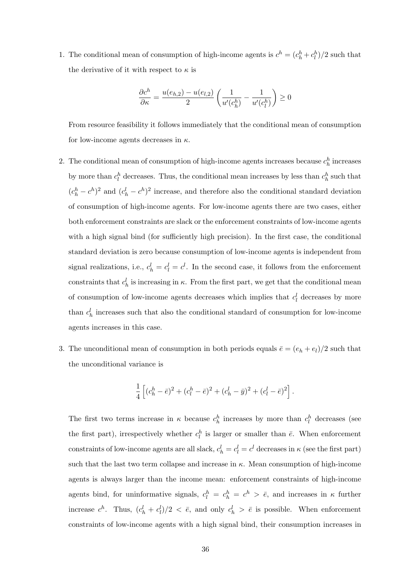1. The conditional mean of consumption of high-income agents is  $c^h = (c^h_h + c^h_l)/2$  such that the derivative of it with respect to  $\kappa$  is

$$
\frac{\partial c^h}{\partial \kappa} = \frac{u(e_{h,2})-u(e_{l,2})}{2}\left(\frac{1}{u'(c^h_h)}-\frac{1}{u'(c^h_l)}\right) \geq 0
$$

From resource feasibility it follows immediately that the conditional mean of consumption for low-income agents decreases in  $\kappa$ .

- 2. The conditional mean of consumption of high-income agents increases because  $c_h^h$  increases by more than  $c_l^h$  decreases. Thus, the conditional mean increases by less than  $c_h^h$  such that  $(c_h^h - c^h)^2$  and  $(c_h^l - c^h)^2$  increase, and therefore also the conditional standard deviation of consumption of high-income agents. For low-income agents there are two cases, either both enforcement constraints are slack or the enforcement constraints of low-income agents with a high signal bind (for sufficiently high precision). In the first case, the conditional standard deviation is zero because consumption of low-income agents is independent from signal realizations, i.e.,  $c_h^l = c_l^l = c^l$ . In the second case, it follows from the enforcement constraints that  $c_h^l$  is increasing in  $\kappa$ . From the first part, we get that the conditional mean of consumption of low-income agents decreases which implies that  $c_l^l$  decreases by more than  $c_h^l$  increases such that also the conditional standard of consumption for low-income agents increases in this case.
- 3. The unconditional mean of consumption in both periods equals  $\bar{e} = (e_h + e_l)/2$  such that the unconditional variance is

$$
\frac{1}{4}\left[ (c_h^h - \bar e)^2 + (c_l^h - \bar e)^2 + (c_h^l - \bar y)^2 + (c_l^l - \bar e)^2 \right].
$$

The first two terms increase in  $\kappa$  because  $c_h^h$  increases by more than  $c_l^h$  decreases (see the first part), irrespectively whether  $c_l^h$  is larger or smaller than  $\bar{e}$ . When enforcement constraints of low-income agents are all slack,  $c_h^l = c_l^l = c^l$  decreases in  $\kappa$  (see the first part) such that the last two term collapse and increase in  $\kappa$ . Mean consumption of high-income agents is always larger than the income mean: enforcement constraints of high-income agents bind, for uninformative signals,  $c_l^h = c_h^h = c^h > \bar{e}$ , and increases in  $\kappa$  further increase  $c^h$ . Thus,  $(c^l_h + c^l_l)/2 < \bar{e}$ , and only  $c^l_h > \bar{e}$  is possible. When enforcement constraints of low-income agents with a high signal bind, their consumption increases in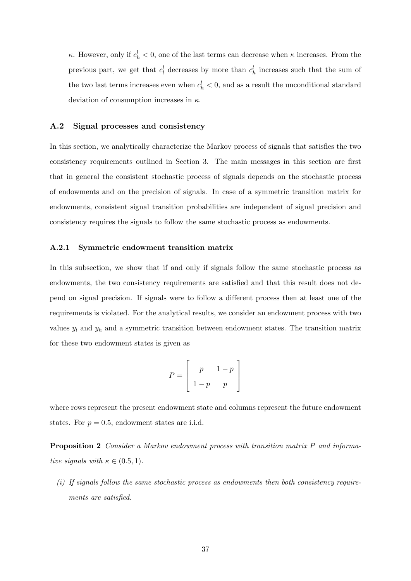$κ$ . However, only if  $c<sup>l</sup><sub>h</sub> < 0$ , one of the last terms can decrease when  $κ$  increases. From the previous part, we get that  $c_l^l$  decreases by more than  $c_h^l$  increases such that the sum of the two last terms increases even when  $c_h^l < 0$ , and as a result the unconditional standard deviation of consumption increases in  $\kappa$ .

#### <span id="page-39-0"></span>A.2 Signal processes and consistency

In this section, we analytically characterize the Markov process of signals that satisfies the two consistency requirements outlined in Section [3.](#page-12-0) The main messages in this section are first that in general the consistent stochastic process of signals depends on the stochastic process of endowments and on the precision of signals. In case of a symmetric transition matrix for endowments, consistent signal transition probabilities are independent of signal precision and consistency requires the signals to follow the same stochastic process as endowments.

#### A.2.1 Symmetric endowment transition matrix

In this subsection, we show that if and only if signals follow the same stochastic process as endowments, the two consistency requirements are satisfied and that this result does not depend on signal precision. If signals were to follow a different process then at least one of the requirements is violated. For the analytical results, we consider an endowment process with two values  $y_l$  and  $y_h$  and a symmetric transition between endowment states. The transition matrix for these two endowment states is given as

$$
P = \left[ \begin{array}{rr} p & 1-p \\ 1-p & p \end{array} \right]
$$

where rows represent the present endowment state and columns represent the future endowment states. For  $p = 0.5$ , endowment states are i.i.d.

Proposition 2 Consider a Markov endowment process with transition matrix P and informative signals with  $\kappa \in (0.5, 1)$ .

 $(i)$  If signals follow the same stochastic process as endowments then both consistency requirements are satisfied.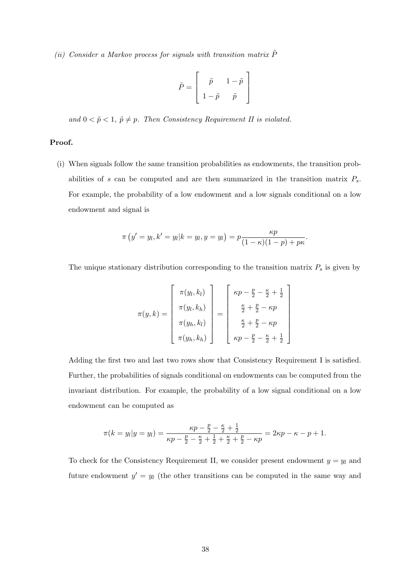(ii) Consider a Markov process for signals with transition matrix  $\tilde{P}$ 

$$
\tilde{P} = \left[ \begin{array}{cc} \tilde{p} & 1-\tilde{p} \\[0.8ex] 1-\tilde{p} & \tilde{p} \end{array} \right]
$$

and  $0 < \tilde{p} < 1$ ,  $\tilde{p} \neq p$ . Then Consistency Requirement II is violated.

#### Proof.

(i) When signals follow the same transition probabilities as endowments, the transition probabilities of s can be computed and are then summarized in the transition matrix  $P_s$ . For example, the probability of a low endowment and a low signals conditional on a low endowment and signal is

$$
\pi(y' = y_l, k' = y_l | k = y_l, y = y_l) = p \frac{\kappa p}{(1 - \kappa)(1 - p) + p\kappa}.
$$

The unique stationary distribution corresponding to the transition matrix  $P_s$  is given by

$$
\pi(y,k) = \begin{bmatrix} \pi(y_l, k_l) \\ \pi(y_l, k_h) \\ \pi(y_h, k_l) \\ \pi(y_h, k_h) \end{bmatrix} = \begin{bmatrix} \kappa p - \frac{p}{2} - \frac{\kappa}{2} + \frac{1}{2} \\ \frac{\kappa}{2} + \frac{p}{2} - \kappa p \\ \frac{\kappa}{2} + \frac{p}{2} - \kappa p \\ \kappa p - \frac{p}{2} - \frac{\kappa}{2} + \frac{1}{2} \end{bmatrix}
$$

Adding the first two and last two rows show that Consistency Requirement I is satisfied. Further, the probabilities of signals conditional on endowments can be computed from the invariant distribution. For example, the probability of a low signal conditional on a low endowment can be computed as

$$
\pi(k = y_l | y = y_l) = \frac{\kappa p - \frac{p}{2} - \frac{\kappa}{2} + \frac{1}{2}}{\kappa p - \frac{p}{2} - \frac{\kappa}{2} + \frac{1}{2} + \frac{\kappa}{2} + \frac{p}{2} - \kappa p} = 2\kappa p - \kappa - p + 1.
$$

To check for the Consistency Requirement II, we consider present endowment  $y = y_l$  and future endowment  $y' = y_l$  (the other transitions can be computed in the same way and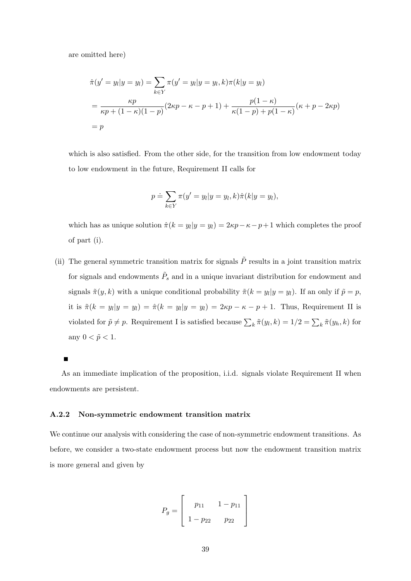are omitted here)

$$
\hat{\pi}(y' = y_l | y = y_l) = \sum_{k \in Y} \pi(y' = y_l | y = y_l, k) \pi(k | y = y_l)
$$
  
= 
$$
\frac{\kappa p}{\kappa p + (1 - \kappa)(1 - p)} (2\kappa p - \kappa - p + 1) + \frac{p(1 - \kappa)}{\kappa(1 - p) + p(1 - \kappa)} (\kappa + p - 2\kappa p)
$$
  
= 
$$
p
$$

which is also satisfied. From the other side, for the transition from low endowment today to low endowment in the future, Requirement II calls for

$$
p \doteq \sum_{k \in Y} \pi(y' = y_l | y = y_l, k) \hat{\pi}(k | y = y_l),
$$

which has as unique solution  $\hat{\pi}(k = y_i | y = y_l) = 2\kappa p - \kappa - p + 1$  which completes the proof of part (i).

(ii) The general symmetric transition matrix for signals  $\tilde{P}$  results in a joint transition matrix for signals and endowments  $\tilde{P}_s$  and in a unique invariant distribution for endowment and signals  $\tilde{\pi}(y, k)$  with a unique conditional probability  $\tilde{\pi}(k = y_i | y = y_l)$ . If an only if  $\tilde{p} = p$ , it is  $\tilde{\pi}(k = y_l | y = y_l) = \hat{\pi}(k = y_l | y = y_l) = 2\kappa p - \kappa - p + 1$ . Thus, Requirement II is violated for  $\tilde{p} \neq p$ . Requirement I is satisfied because  $\sum_{k} \tilde{\pi}(y_k, k) = 1/2 = \sum_{k} \tilde{\pi}(y_k, k)$  for any  $0 < \tilde{p} < 1$ .

As an immediate implication of the proposition, i.i.d. signals violate Requirement II when endowments are persistent.

#### A.2.2 Non-symmetric endowment transition matrix

We continue our analysis with considering the case of non-symmetric endowment transitions. As before, we consider a two-state endowment process but now the endowment transition matrix is more general and given by

$$
P_g = \left[ \begin{array}{rr} p_{11} & 1 - p_{11} \\ 1 - p_{22} & p_{22} \end{array} \right]
$$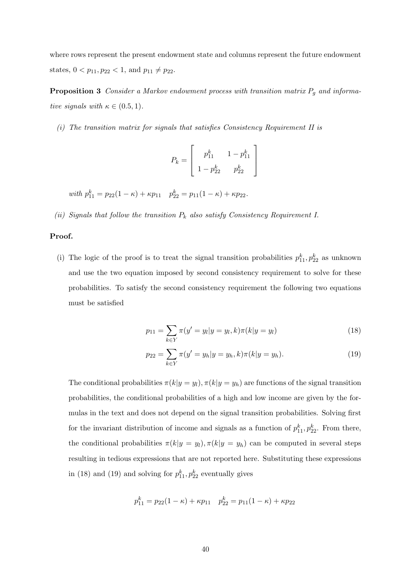where rows represent the present endowment state and columns represent the future endowment states,  $0 < p_{11}, p_{22} < 1$ , and  $p_{11} \neq p_{22}$ .

**Proposition 3** Consider a Markov endowment process with transition matrix  $P_g$  and informative signals with  $\kappa \in (0.5, 1)$ .

(i) The transition matrix for signals that satisfies Consistency Requirement II is

<span id="page-42-2"></span>
$$
P_k = \left[ \begin{array}{cc} p_{11}^k & 1-p_{11}^k \\ 1-p_{22}^k & p_{22}^k \end{array} \right]
$$

with  $p_{11}^k = p_{22}(1 - \kappa) + \kappa p_{11}$   $p_{22}^k = p_{11}(1 - \kappa) + \kappa p_{22}$ .

(ii) Signals that follow the transition  $P_k$  also satisfy Consistency Requirement I.

#### Proof.

(i) The logic of the proof is to treat the signal transition probabilities  $p_{11}^k, p_{22}^k$  as unknown and use the two equation imposed by second consistency requirement to solve for these probabilities. To satisfy the second consistency requirement the following two equations must be satisfied

<span id="page-42-1"></span><span id="page-42-0"></span>
$$
p_{11} = \sum_{k \in Y} \pi(y' = y_l | y = y_l, k) \pi(k | y = y_l)
$$
\n(18)

$$
p_{22} = \sum_{k \in Y} \pi(y' = y_h | y = y_h, k) \pi(k | y = y_h).
$$
 (19)

The conditional probabilities  $\pi(k|y = y_l)$ ,  $\pi(k|y = y_h)$  are functions of the signal transition probabilities, the conditional probabilities of a high and low income are given by the formulas in the text and does not depend on the signal transition probabilities. Solving first for the invariant distribution of income and signals as a function of  $p_{11}^k, p_{22}^k$ . From there, the conditional probabilities  $\pi(k|y = y_l), \pi(k|y = y_h)$  can be computed in several steps resulting in tedious expressions that are not reported here. Substituting these expressions in [\(18\)](#page-42-0) and [\(19\)](#page-42-1) and solving for  $p_{11}^k, p_{22}^k$  eventually gives

$$
p_{11}^k = p_{22}(1 - \kappa) + \kappa p_{11} \quad p_{22}^k = p_{11}(1 - \kappa) + \kappa p_{22}
$$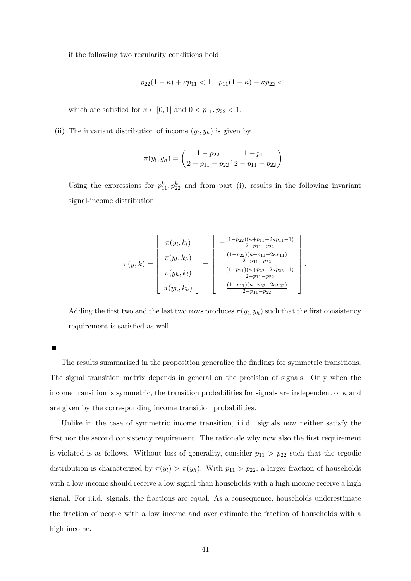if the following two regularity conditions hold

$$
p_{22}(1 - \kappa) + \kappa p_{11} < 1 \quad p_{11}(1 - \kappa) + \kappa p_{22} < 1
$$

which are satisfied for  $\kappa \in [0,1]$  and  $0 < p_{11}, p_{22} < 1$ .

(ii) The invariant distribution of income  $(y_l, y_h)$  is given by

$$
\pi(y_l, y_h) = \left(\frac{1-p_{22}}{2-p_{11}-p_{22}}, \frac{1-p_{11}}{2-p_{11}-p_{22}}\right).
$$

Using the expressions for  $p_{11}^k, p_{22}^k$  and from part (i), results in the following invariant signal-income distribution

$$
\pi(y,k) = \begin{bmatrix}\n\pi(y_l, k_l) \\
\pi(y_l, k_h) \\
\pi(y_h, k_l) \\
\pi(y_h, k_h)\n\end{bmatrix} = \begin{bmatrix}\n-\frac{(1-p_{22})(\kappa + p_{11} - 2\kappa p_{11} - 1)}{2 - p_{11} - p_{22}} \\
\frac{(1-p_{22})(\kappa + p_{11} - 2\kappa p_{11})}{2 - p_{11} - p_{22}}\n\end{bmatrix} \frac{(1-p_{11})(\kappa + p_{22} - 2\kappa p_{22} - 1)}{2 - p_{11} - p_{22}}\n\begin{bmatrix}\n\pi(y_h, k_h) \\
\pi(y_h, k_h)\n\end{bmatrix}
$$

.

Adding the first two and the last two rows produces  $\pi(y_l, y_h)$  such that the first consistency requirement is satisfied as well.

п

The results summarized in the proposition generalize the findings for symmetric transitions. The signal transition matrix depends in general on the precision of signals. Only when the income transition is symmetric, the transition probabilities for signals are independent of  $\kappa$  and are given by the corresponding income transition probabilities.

Unlike in the case of symmetric income transition, i.i.d. signals now neither satisfy the first nor the second consistency requirement. The rationale why now also the first requirement is violated is as follows. Without loss of generality, consider  $p_{11} > p_{22}$  such that the ergodic distribution is characterized by  $\pi(y_l) > \pi(y_h)$ . With  $p_{11} > p_{22}$ , a larger fraction of households with a low income should receive a low signal than households with a high income receive a high signal. For i.i.d. signals, the fractions are equal. As a consequence, households underestimate the fraction of people with a low income and over estimate the fraction of households with a high income.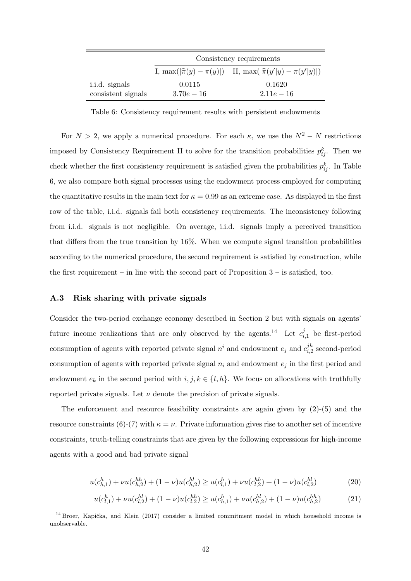<span id="page-44-1"></span>

|                    | Consistency requirements |                                                                              |  |
|--------------------|--------------------------|------------------------------------------------------------------------------|--|
|                    |                          | I, max $( \hat{\pi}(y) - \pi(y) )$ II, max $( \hat{\pi}(y' y) - \pi(y' y) )$ |  |
| i.i.d. signals     | 0.0115                   | 0.1620                                                                       |  |
| consistent signals | $3.70e - 16$             | $2.11e-16$                                                                   |  |

Table 6: Consistency requirement results with persistent endowments

For  $N > 2$ , we apply a numerical procedure. For each  $\kappa$ , we use the  $N^2 - N$  restrictions imposed by Consistency Requirement II to solve for the transition probabilities  $p_{ij}^k$ . Then we check whether the first consistency requirement is satisfied given the probabilities  $p_{ij}^k$ . In Table [6,](#page-44-1) we also compare both signal processes using the endowment process employed for computing the quantitative results in the main text for  $\kappa = 0.99$  as an extreme case. As displayed in the first row of the table, i.i.d. signals fail both consistency requirements. The inconsistency following from i.i.d. signals is not negligible. On average, i.i.d. signals imply a perceived transition that differs from the true transition by 16%. When we compute signal transition probabilities according to the numerical procedure, the second requirement is satisfied by construction, while the first requirement – in line with the second part of Proposition  $3$  – is satisfied, too.

#### <span id="page-44-0"></span>A.3 Risk sharing with private signals

Consider the two-period exchange economy described in Section [2](#page-8-0) but with signals on agents' future income realizations that are only observed by the agents.<sup>[14](#page-44-2)</sup> Let  $c_i^j$  $i_{i,1}^j$  be first-period consumption of agents with reported private signal  $n^i$  and endowment  $e_j$  and  $c_{i,j}^{jk}$  $C_{i,2}^{\mu}$  second-period consumption of agents with reported private signal  $n_i$  and endowment  $e_j$  in the first period and endowment  $e_k$  in the second period with  $i, j, k \in \{l, h\}$ . We focus on allocations with truthfully reported private signals. Let  $\nu$  denote the precision of private signals.

The enforcement and resource feasibility constraints are again given by  $(2)-(5)$  $(2)-(5)$  $(2)-(5)$  and the resource constraints [\(6\)](#page-10-2)-[\(7\)](#page-10-3) with  $\kappa = \nu$ . Private information gives rise to another set of incentive constraints, truth-telling constraints that are given by the following expressions for high-income agents with a good and bad private signal

$$
u(c_{h,1}^h) + \nu u(c_{h,2}^{hh}) + (1 - \nu)u(c_{h,2}^{hl}) \ge u(c_{l,1}^h) + \nu u(c_{l,2}^{hh}) + (1 - \nu)u(c_{l,2}^{hl})
$$
\n(20)

<span id="page-44-3"></span>
$$
u(c_{l,1}^h) + \nu u(c_{l,2}^{hl}) + (1 - \nu)u(c_{l,2}^{hh}) \ge u(c_{h,1}^h) + \nu u(c_{h,2}^{hl}) + (1 - \nu)u(c_{h,2}^{hh})
$$
 (21)

<span id="page-44-2"></span> $14$  Broer, Kapička, and Klein [\(2017\)](#page-35-12) consider a limited commitment model in which household income is unobservable.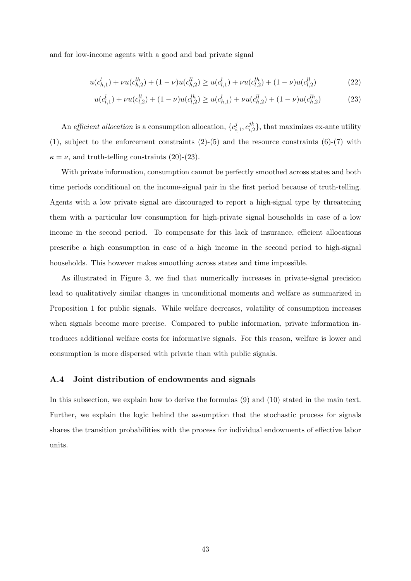and for low-income agents with a good and bad private signal

$$
u(c_{h,1}^l) + \nu u(c_{h,2}^{lh}) + (1 - \nu)u(c_{h,2}^{ll}) \ge u(c_{l,1}^l) + \nu u(c_{l,2}^{lh}) + (1 - \nu)u(c_{l,2}^{ll})
$$
\n
$$
(22)
$$

<span id="page-45-1"></span>
$$
u(c_{l,1}^l) + \nu u(c_{l,2}^{ll}) + (1 - \nu)u(c_{l,2}^{lh}) \ge u(c_{h,1}^l) + \nu u(c_{h,2}^{ll}) + (1 - \nu)u(c_{h,2}^{lh})
$$
\n(23)

An efficient allocation is a consumption allocation,  $\{c_i^j\}$  $i,1}^{j},c_{i,2}^{jk}$  $\binom{j}{i}$ , that maximizes ex-ante utility  $(1)$ , subject to the enforcement constraints  $(2)-(5)$  $(2)-(5)$  $(2)-(5)$  and the resource constraints  $(6)-(7)$  $(6)-(7)$  $(6)-(7)$  with  $\kappa = \nu$ , and truth-telling constraints [\(20\)](#page-44-3)-[\(23\)](#page-45-1).

With private information, consumption cannot be perfectly smoothed across states and both time periods conditional on the income-signal pair in the first period because of truth-telling. Agents with a low private signal are discouraged to report a high-signal type by threatening them with a particular low consumption for high-private signal households in case of a low income in the second period. To compensate for this lack of insurance, efficient allocations prescribe a high consumption in case of a high income in the second period to high-signal households. This however makes smoothing across states and time impossible.

As illustrated in Figure [3,](#page-46-0) we find that numerically increases in private-signal precision lead to qualitatively similar changes in unconditional moments and welfare as summarized in Proposition [1](#page-10-5) for public signals. While welfare decreases, volatility of consumption increases when signals become more precise. Compared to public information, private information introduces additional welfare costs for informative signals. For this reason, welfare is lower and consumption is more dispersed with private than with public signals.

#### <span id="page-45-0"></span>A.4 Joint distribution of endowments and signals

In this subsection, we explain how to derive the formulas [\(9\)](#page-13-1) and [\(10\)](#page-14-1) stated in the main text. Further, we explain the logic behind the assumption that the stochastic process for signals shares the transition probabilities with the process for individual endowments of effective labor units.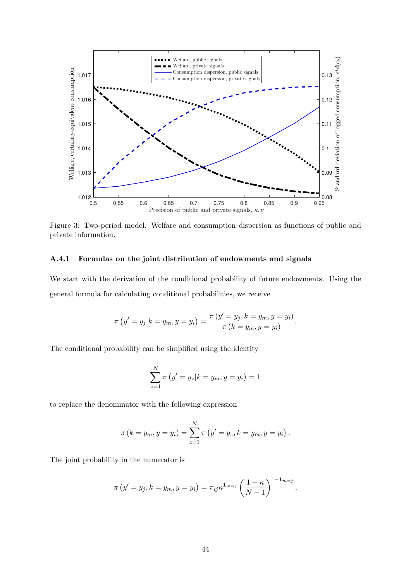<span id="page-46-0"></span>

Figure 3: Two-period model. Welfare and consumption dispersion as functions of public and private information.

#### A.4.1 Formulas on the joint distribution of endowments and signals

We start with the derivation of the conditional probability of future endowments. Using the general formula for calculating conditional probabilities, we receive

$$
\pi(y' = y_j | k = y_m, y = y_i) = \frac{\pi (y' = y_j, k = y_m, y = y_i)}{\pi (k = y_m, y = y_i)}.
$$

The conditional probability can be simplified using the identity

$$
\sum_{z=1}^{N} \pi (y' = y_z | k = y_m, y = y_i) = 1
$$

to replace the denominator with the following expression

$$
\pi (k = y_m, y = y_i) = \sum_{z=1}^{N} \pi (y' = y_z, k = y_m, y = y_i).
$$

The joint probability in the numerator is

$$
\pi\left(y'=y_j, k=y_m, y=y_i\right)=\pi_{ij}\kappa^{\mathbf{1}_{m=j}}\left(\frac{1-\kappa}{N-1}\right)^{\mathbf{1}-\mathbf{1}_{m=j}},
$$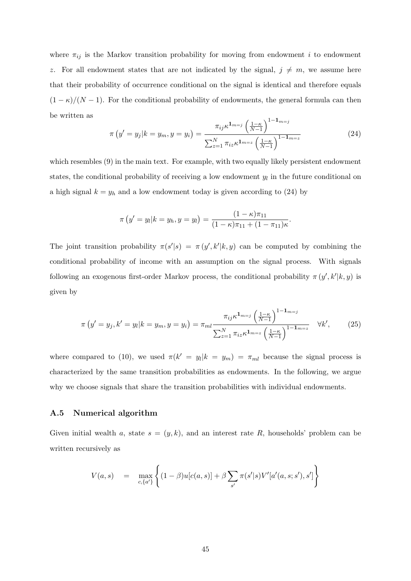where  $\pi_{ij}$  is the Markov transition probability for moving from endowment i to endowment z. For all endowment states that are not indicated by the signal,  $j \neq m$ , we assume here that their probability of occurrence conditional on the signal is identical and therefore equals  $(1 - \kappa)/(N - 1)$ . For the conditional probability of endowments, the general formula can then be written as 1−1m=<sup>j</sup>

<span id="page-47-1"></span>
$$
\pi\left(y'=y_j|k=y_m,y=y_i\right) = \frac{\pi_{ij}\kappa^{1_{m=j}}\left(\frac{1-\kappa}{N-1}\right)^{1-1_{m=j}}}{\sum_{z=1}^{N}\pi_{iz}\kappa^{1_{m=z}}\left(\frac{1-\kappa}{N-1}\right)^{1-1_{m=z}}}
$$
(24)

which resembles [\(9\)](#page-13-1) in the main text. For example, with two equally likely persistent endowment states, the conditional probability of receiving a low endowment  $y_l$  in the future conditional on a high signal  $k = y_h$  and a low endowment today is given according to [\(24\)](#page-47-1) by

$$
\pi(y'=y_l|k=y_h,y=y_l) = \frac{(1-\kappa)\pi_{11}}{(1-\kappa)\pi_{11} + (1-\pi_{11})\kappa}.
$$

The joint transition probability  $\pi(s'|s) = \pi(y', k'|k, y)$  can be computed by combining the conditional probability of income with an assumption on the signal process. With signals following an exogenous first-order Markov process, the conditional probability  $\pi(y', k'|k, y)$  is given by

$$
\pi\left(y'=y_j, k'=y_l|k=y_m, y=y_i\right) = \pi_{ml} \frac{\pi_{ij} \kappa^{1_{m=j}} \left(\frac{1-\kappa}{N-1}\right)^{1-1_{m=j}}}{\sum_{z=1}^{N} \pi_{iz} \kappa^{1_{m=z}} \left(\frac{1-\kappa}{N-1}\right)^{1-1_{m=z}}} \quad \forall k',
$$
 (25)

where compared to [\(10\)](#page-14-1), we used  $\pi(k' = y_l | k = y_m) = \pi_{ml}$  because the signal process is characterized by the same transition probabilities as endowments. In the following, we argue why we choose signals that share the transition probabilities with individual endowments.

### <span id="page-47-0"></span>A.5 Numerical algorithm

Given initial wealth a, state  $s = (y, k)$ , and an interest rate R, households' problem can be written recursively as

$$
V(a,s) = \max_{c, \{a'\}} \left\{ (1-\beta)u[c(a,s)] + \beta \sum_{s'} \pi(s'|s) V'[a'(a,s;s'),s'] \right\}
$$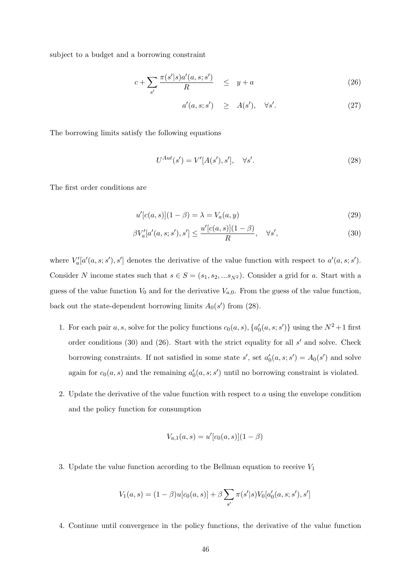subject to a budget and a borrowing constraint

$$
c + \sum_{s'} \frac{\pi(s'|s)a'(a,s;s')}{R} \quad \leq \quad y + a \tag{26}
$$

<span id="page-48-2"></span>
$$
a'(a, s; s') \geq A(s'), \quad \forall s'. \tag{27}
$$

The borrowing limits satisfy the following equations

<span id="page-48-1"></span><span id="page-48-0"></span>
$$
U^{Aut}(s') = V'[A(s'), s'], \quad \forall s'. \tag{28}
$$

The first order conditions are

$$
u'[c(a, s)](1 - \beta) = \lambda = V_a(a, y)
$$
\n(29)

$$
\beta V_a'[a'(a,s;s'),s'] \le \frac{u'[c(a,s)](1-\beta)}{R}, \quad \forall s',\tag{30}
$$

where  $V'_a[a'(a,s;s'),s']$  denotes the derivative of the value function with respect to  $a'(a,s;s')$ . Consider N income states such that  $s \in S = (s_1, s_2, ... s_{N^2})$ . Consider a grid for a. Start with a guess of the value function  $V_0$  and for the derivative  $V_{a,0}$ . From the guess of the value function, back out the state-dependent borrowing limits  $A_0(s')$  from [\(28\)](#page-48-0).

- 1. For each pair a, s, solve for the policy functions  $c_0(a, s)$ ,  $\{a'_0(a, s; s')\}$  using the  $N^2+1$  first order conditions [\(30\)](#page-48-1) and [\(26\)](#page-48-2). Start with the strict equality for all  $s'$  and solve. Check borrowing constraints. If not satisfied in some state  $s'$ , set  $a'_0(a, s; s') = A_0(s')$  and solve again for  $c_0(a, s)$  and the remaining  $a'_0(a, s; s')$  until no borrowing constraint is violated.
- 2. Update the derivative of the value function with respect to  $a$  using the envelope condition and the policy function for consumption

$$
V_{a,1}(a,s) = u'[c_0(a,s)](1-\beta)
$$

3. Update the value function according to the Bellman equation to receive  $V_1$ 

$$
V_1(a,s) = (1 - \beta)u[c_0(a,s)] + \beta \sum_{s'} \pi(s'|s) V_0[a'_0(a,s;s'),s']
$$

4. Continue until convergence in the policy functions, the derivative of the value function